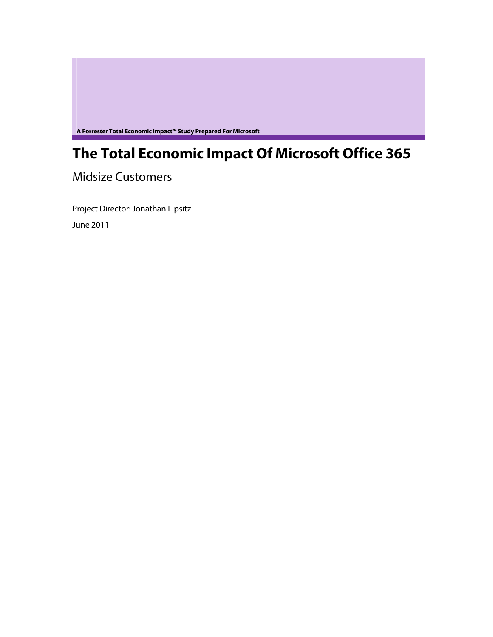**A Forrester Total Economic Impact™ Study Prepared For Microsoft** 

# **The Total Economic Impact Of Microsoft Office 365**

Midsize Customers

Project Director: Jonathan Lipsitz June 2011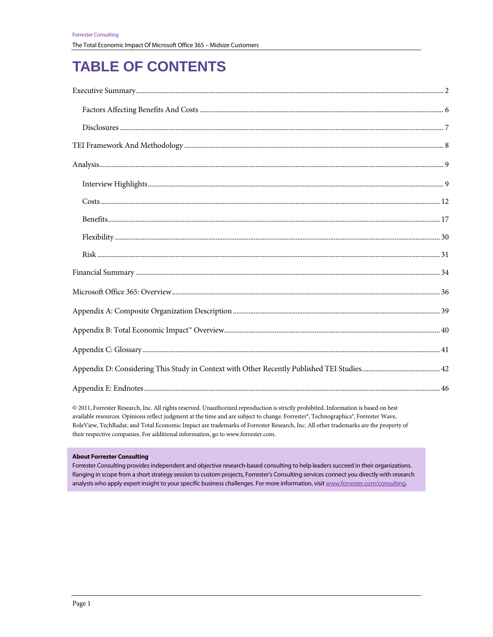# **TABLE OF CONTENTS**

| $Risk \hspace*{20pt} . \hspace*{20pt} . \hspace*{20pt} . \hspace*{20pt} . \hspace*{20pt} . \hspace*{20pt} . \hspace*{20pt} . \hspace*{20pt} 31$ |  |
|-------------------------------------------------------------------------------------------------------------------------------------------------|--|
|                                                                                                                                                 |  |
|                                                                                                                                                 |  |
|                                                                                                                                                 |  |
|                                                                                                                                                 |  |
|                                                                                                                                                 |  |
|                                                                                                                                                 |  |
|                                                                                                                                                 |  |

© 2011, Forrester Research, Inc. All rights reserved. Unauthorized reproduction is strictly prohibited. Information is based on best available resources. Opinions reflect judgment at the time and are subject to change. Forrester®, Technographics®, Forrester Wave, RoleView, TechRadar, and Total Economic Impact are trademarks of Forrester Research, Inc. All other trademarks are the property of their respective companies. For additional information, go to www.forrester.com.

#### **About Forrester Consulting**

Forrester Consulting provides independent and objective research-based consulting to help leaders succeed in their organizations. Ranging in scope from a short strategy session to custom projects, Forrester's Consulting services connect you directly with research analysts who apply expert insight to your specific business challenges. For more information, visit www.forrester.com/consulting.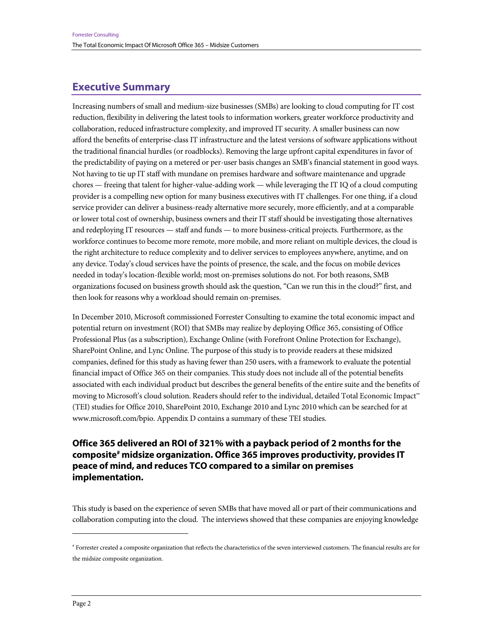# **Executive Summary**

Increasing numbers of small and medium-size businesses (SMBs) are looking to cloud computing for IT cost reduction, flexibility in delivering the latest tools to information workers, greater workforce productivity and collaboration, reduced infrastructure complexity, and improved IT security. A smaller business can now afford the benefits of enterprise-class IT infrastructure and the latest versions of software applications without the traditional financial hurdles (or roadblocks). Removing the large upfront capital expenditures in favor of the predictability of paying on a metered or per-user basis changes an SMB's financial statement in good ways. Not having to tie up IT staff with mundane on premises hardware and software maintenance and upgrade chores — freeing that talent for higher-value-adding work — while leveraging the IT IQ of a cloud computing provider is a compelling new option for many business executives with IT challenges. For one thing, if a cloud service provider can deliver a business-ready alternative more securely, more efficiently, and at a comparable or lower total cost of ownership, business owners and their IT staff should be investigating those alternatives and redeploying IT resources — staff and funds — to more business-critical projects. Furthermore, as the workforce continues to become more remote, more mobile, and more reliant on multiple devices, the cloud is the right architecture to reduce complexity and to deliver services to employees anywhere, anytime, and on any device. Today's cloud services have the points of presence, the scale, and the focus on mobile devices needed in today's location-flexible world; most on-premises solutions do not. For both reasons, SMB organizations focused on business growth should ask the question, "Can we run this in the cloud?" first, and then look for reasons why a workload should remain on-premises.

In December 2010, Microsoft commissioned Forrester Consulting to examine the total economic impact and potential return on investment (ROI) that SMBs may realize by deploying Office 365, consisting of Office Professional Plus (as a subscription), Exchange Online (with Forefront Online Protection for Exchange), SharePoint Online, and Lync Online. The purpose of this study is to provide readers at these midsized companies, defined for this study as having fewer than 250 users, with a framework to evaluate the potential financial impact of Office 365 on their companies. This study does not include all of the potential benefits associated with each individual product but describes the general benefits of the entire suite and the benefits of moving to Microsoft's cloud solution. Readers should refer to the individual, detailed Total Economic Impact™ (TEI) studies for Office 2010, SharePoint 2010, Exchange 2010 and Lync 2010 which can be searched for at www.microsoft.com/bpio. Appendix D contains a summary of these TEI studies.

# **Office 365 delivered an ROI of 321% with a payback period of 2 months for the composite# midsize organization. Office 365 improves productivity, provides IT peace of mind, and reduces TCO compared to a similar on premises implementation.**

This study is based on the experience of seven SMBs that have moved all or part of their communications and collaboration computing into the cloud. The interviews showed that these companies are enjoying knowledge

1

<sup>#</sup> Forrester created a composite organization that reflects the characteristics of the seven interviewed customers. The financial results are for the midsize composite organization.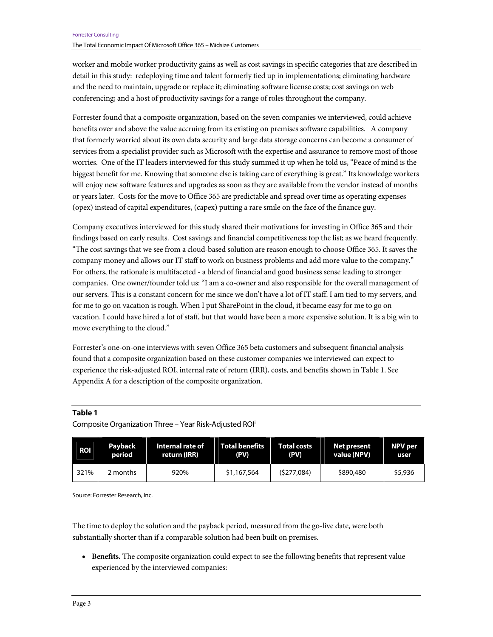worker and mobile worker productivity gains as well as cost savings in specific categories that are described in detail in this study: redeploying time and talent formerly tied up in implementations; eliminating hardware and the need to maintain, upgrade or replace it; eliminating software license costs; cost savings on web conferencing; and a host of productivity savings for a range of roles throughout the company.

Forrester found that a composite organization, based on the seven companies we interviewed, could achieve benefits over and above the value accruing from its existing on premises software capabilities. A company that formerly worried about its own data security and large data storage concerns can become a consumer of services from a specialist provider such as Microsoft with the expertise and assurance to remove most of those worries. One of the IT leaders interviewed for this study summed it up when he told us, "Peace of mind is the biggest benefit for me. Knowing that someone else is taking care of everything is great." Its knowledge workers will enjoy new software features and upgrades as soon as they are available from the vendor instead of months or years later. Costs for the move to Office 365 are predictable and spread over time as operating expenses (opex) instead of capital expenditures, (capex) putting a rare smile on the face of the finance guy.

Company executives interviewed for this study shared their motivations for investing in Office 365 and their findings based on early results. Cost savings and financial competitiveness top the list; as we heard frequently. "The cost savings that we see from a cloud-based solution are reason enough to choose Office 365. It saves the company money and allows our IT staff to work on business problems and add more value to the company." For others, the rationale is multifaceted - a blend of financial and good business sense leading to stronger companies. One owner/founder told us: "I am a co-owner and also responsible for the overall management of our servers. This is a constant concern for me since we don't have a lot of IT staff. I am tied to my servers, and for me to go on vacation is rough. When I put SharePoint in the cloud, it became easy for me to go on vacation. I could have hired a lot of staff, but that would have been a more expensive solution. It is a big win to move everything to the cloud."

Forrester's one-on-one interviews with seven Office 365 beta customers and subsequent financial analysis found that a composite organization based on these customer companies we interviewed can expect to experience the risk-adjusted ROI, internal rate of return (IRR), costs, and benefits shown in Table 1. See Appendix A for a description of the composite organization.

#### **Table 1**

#### Composite Organization Three – Year Risk-Adjusted ROIi

| <b>ROI</b> | Payback  | Internal rate of | Total benefits | <b>Total costs</b> | Net present | NPV per |
|------------|----------|------------------|----------------|--------------------|-------------|---------|
|            | period   | return (IRR)     | (PV)           | (PV)               | value (NPV) | user    |
| 321%       | 2 months | 920%             | \$1,167,564    | (5277,084)         | \$890,480   | \$5,936 |

Source: Forrester Research, Inc.

The time to deploy the solution and the payback period, measured from the go-live date, were both substantially shorter than if a comparable solution had been built on premises.

• **Benefits.** The composite organization could expect to see the following benefits that represent value experienced by the interviewed companies: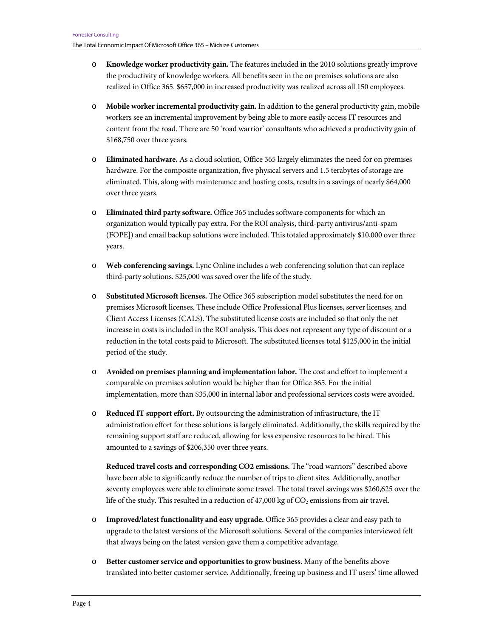- o **Knowledge worker productivity gain.** The features included in the 2010 solutions greatly improve the productivity of knowledge workers. All benefits seen in the on premises solutions are also realized in Office 365. \$657,000 in increased productivity was realized across all 150 employees.
- o **Mobile worker incremental productivity gain.** In addition to the general productivity gain, mobile workers see an incremental improvement by being able to more easily access IT resources and content from the road. There are 50 'road warrior' consultants who achieved a productivity gain of \$168,750 over three years.
- o **Eliminated hardware.** As a cloud solution, Office 365 largely eliminates the need for on premises hardware. For the composite organization, five physical servers and 1.5 terabytes of storage are eliminated. This, along with maintenance and hosting costs, results in a savings of nearly \$64,000 over three years.
- o **Eliminated third party software.** Office 365 includes software components for which an organization would typically pay extra. For the ROI analysis, third-party antivirus/anti-spam (FOPE]) and email backup solutions were included. This totaled approximately \$10,000 over three years.
- o **Web conferencing savings.** Lync Online includes a web conferencing solution that can replace third-party solutions. \$25,000 was saved over the life of the study.
- o **Substituted Microsoft licenses.** The Office 365 subscription model substitutes the need for on premises Microsoft licenses. These include Office Professional Plus licenses, server licenses, and Client Access Licenses (CALS). The substituted license costs are included so that only the net increase in costs is included in the ROI analysis. This does not represent any type of discount or a reduction in the total costs paid to Microsoft. The substituted licenses total \$125,000 in the initial period of the study.
- o **Avoided on premises planning and implementation labor.** The cost and effort to implement a comparable on premises solution would be higher than for Office 365. For the initial implementation, more than \$35,000 in internal labor and professional services costs were avoided.
- o **Reduced IT support effort.** By outsourcing the administration of infrastructure, the IT administration effort for these solutions is largely eliminated. Additionally, the skills required by the remaining support staff are reduced, allowing for less expensive resources to be hired. This amounted to a savings of \$206,350 over three years.

**Reduced travel costs and corresponding CO2 emissions.** The "road warriors" described above have been able to significantly reduce the number of trips to client sites. Additionally, another seventy employees were able to eliminate some travel. The total travel savings was \$260,625 over the life of the study. This resulted in a reduction of 47,000 kg of  $CO<sub>2</sub>$  emissions from air travel.

- o **Improved/latest functionality and easy upgrade.** Office 365 provides a clear and easy path to upgrade to the latest versions of the Microsoft solutions. Several of the companies interviewed felt that always being on the latest version gave them a competitive advantage.
- o **Better customer service and opportunities to grow business.** Many of the benefits above translated into better customer service. Additionally, freeing up business and IT users' time allowed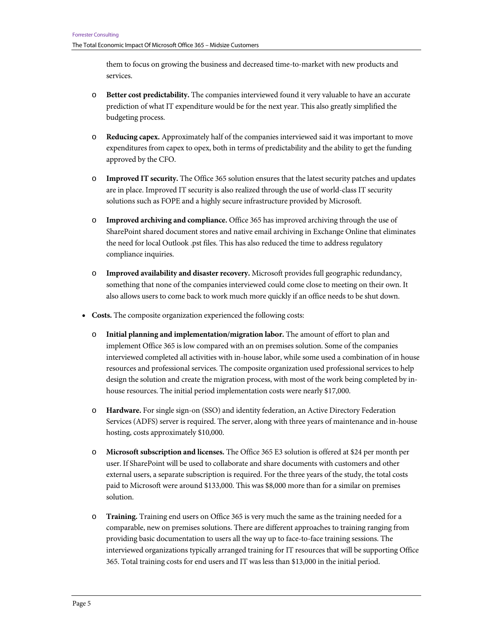them to focus on growing the business and decreased time-to-market with new products and services.

- o **Better cost predictability.** The companies interviewed found it very valuable to have an accurate prediction of what IT expenditure would be for the next year. This also greatly simplified the budgeting process.
- o **Reducing capex.** Approximately half of the companies interviewed said it was important to move expenditures from capex to opex, both in terms of predictability and the ability to get the funding approved by the CFO.
- o **Improved IT security.** The Office 365 solution ensures that the latest security patches and updates are in place. Improved IT security is also realized through the use of world-class IT security solutions such as FOPE and a highly secure infrastructure provided by Microsoft.
- o **Improved archiving and compliance.** Office 365 has improved archiving through the use of SharePoint shared document stores and native email archiving in Exchange Online that eliminates the need for local Outlook .pst files. This has also reduced the time to address regulatory compliance inquiries.
- o **Improved availability and disaster recovery.** Microsoft provides full geographic redundancy, something that none of the companies interviewed could come close to meeting on their own. It also allows users to come back to work much more quickly if an office needs to be shut down.
- **Costs.** The composite organization experienced the following costs:
	- o **Initial planning and implementation/migration labor.** The amount of effort to plan and implement Office 365 is low compared with an on premises solution. Some of the companies interviewed completed all activities with in-house labor, while some used a combination of in house resources and professional services. The composite organization used professional services to help design the solution and create the migration process, with most of the work being completed by inhouse resources. The initial period implementation costs were nearly \$17,000.
	- o **Hardware.** For single sign-on (SSO) and identity federation, an Active Directory Federation Services (ADFS) server is required. The server, along with three years of maintenance and in-house hosting, costs approximately \$10,000.
	- o **Microsoft subscription and licenses.** The Office 365 E3 solution is offered at \$24 per month per user. If SharePoint will be used to collaborate and share documents with customers and other external users, a separate subscription is required. For the three years of the study, the total costs paid to Microsoft were around \$133,000. This was \$8,000 more than for a similar on premises solution.
	- o **Training.** Training end users on Office 365 is very much the same as the training needed for a comparable, new on premises solutions. There are different approaches to training ranging from providing basic documentation to users all the way up to face-to-face training sessions. The interviewed organizations typically arranged training for IT resources that will be supporting Office 365. Total training costs for end users and IT was less than \$13,000 in the initial period.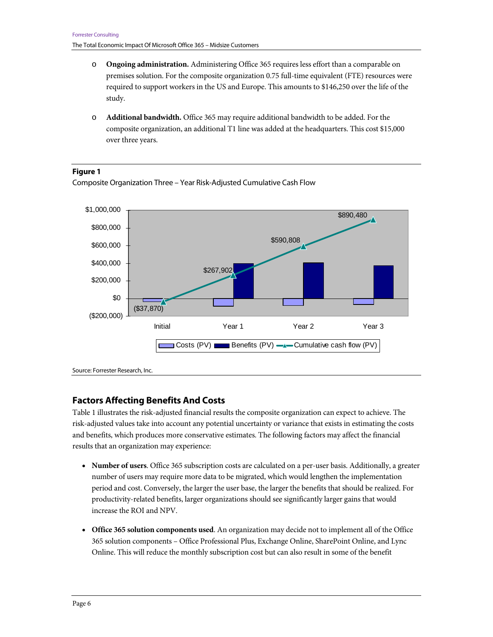- o **Ongoing administration.** Administering Office 365 requires less effort than a comparable on premises solution. For the composite organization 0.75 full-time equivalent (FTE) resources were required to support workers in the US and Europe. This amounts to \$146,250 over the life of the study.
- o **Additional bandwidth.** Office 365 may require additional bandwidth to be added. For the composite organization, an additional T1 line was added at the headquarters. This cost \$15,000 over three years.

#### **Figure 1**

Composite Organization Three – Year Risk-Adjusted Cumulative Cash Flow



# **Factors Affecting Benefits And Costs**

Table 1 illustrates the risk-adjusted financial results the composite organization can expect to achieve. The risk-adjusted values take into account any potential uncertainty or variance that exists in estimating the costs and benefits, which produces more conservative estimates. The following factors may affect the financial results that an organization may experience:

- **Number of users**. Office 365 subscription costs are calculated on a per-user basis. Additionally, a greater number of users may require more data to be migrated, which would lengthen the implementation period and cost. Conversely, the larger the user base, the larger the benefits that should be realized. For productivity-related benefits, larger organizations should see significantly larger gains that would increase the ROI and NPV.
- **Office 365 solution components used**. An organization may decide not to implement all of the Office 365 solution components – Office Professional Plus, Exchange Online, SharePoint Online, and Lync Online. This will reduce the monthly subscription cost but can also result in some of the benefit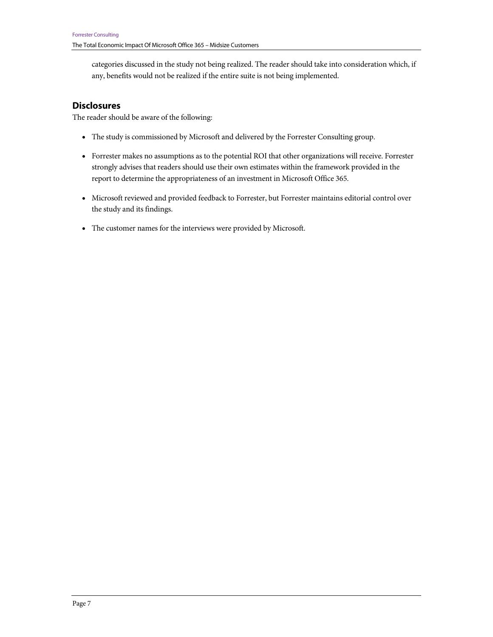categories discussed in the study not being realized. The reader should take into consideration which, if any, benefits would not be realized if the entire suite is not being implemented.

# **Disclosures**

The reader should be aware of the following:

- The study is commissioned by Microsoft and delivered by the Forrester Consulting group.
- Forrester makes no assumptions as to the potential ROI that other organizations will receive. Forrester strongly advises that readers should use their own estimates within the framework provided in the report to determine the appropriateness of an investment in Microsoft Office 365.
- Microsoft reviewed and provided feedback to Forrester, but Forrester maintains editorial control over the study and its findings.
- The customer names for the interviews were provided by Microsoft.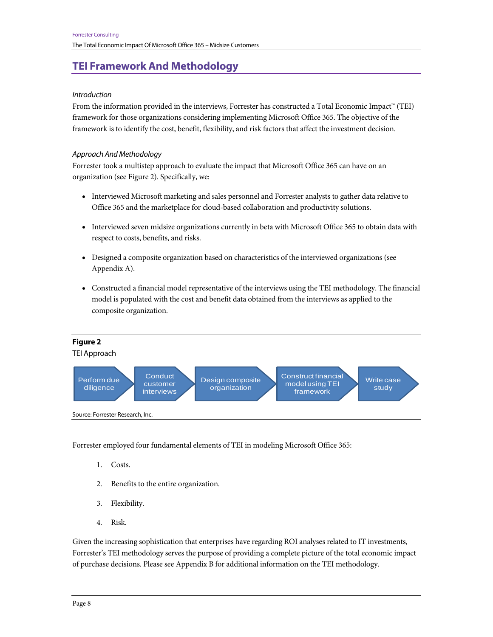# **TEI Framework And Methodology**

#### Introduction

From the information provided in the interviews, Forrester has constructed a Total Economic Impact™ (TEI) framework for those organizations considering implementing Microsoft Office 365. The objective of the framework is to identify the cost, benefit, flexibility, and risk factors that affect the investment decision.

#### Approach And Methodology

Forrester took a multistep approach to evaluate the impact that Microsoft Office 365 can have on an organization (see Figure 2). Specifically, we:

- Interviewed Microsoft marketing and sales personnel and Forrester analysts to gather data relative to Office 365 and the marketplace for cloud-based collaboration and productivity solutions.
- Interviewed seven midsize organizations currently in beta with Microsoft Office 365 to obtain data with respect to costs, benefits, and risks.
- Designed a composite organization based on characteristics of the interviewed organizations (see Appendix A).
- Constructed a financial model representative of the interviews using the TEI methodology. The financial model is populated with the cost and benefit data obtained from the interviews as applied to the composite organization.



Forrester employed four fundamental elements of TEI in modeling Microsoft Office 365:

- 1. Costs.
- 2. Benefits to the entire organization.
- 3. Flexibility.
- 4. Risk.

Given the increasing sophistication that enterprises have regarding ROI analyses related to IT investments, Forrester's TEI methodology serves the purpose of providing a complete picture of the total economic impact of purchase decisions. Please see Appendix B for additional information on the TEI methodology.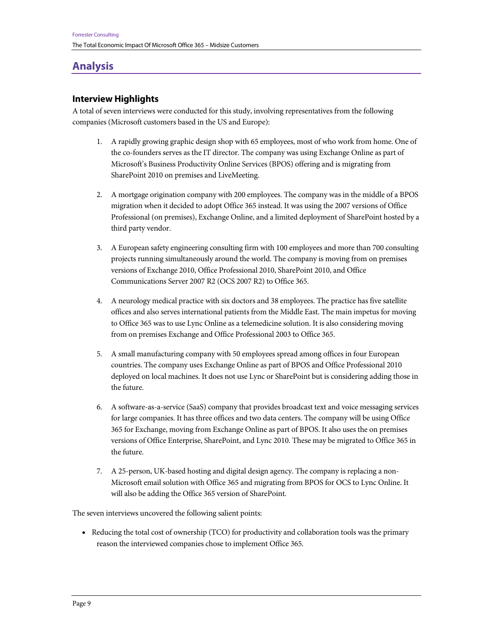# **Analysis**

# **Interview Highlights**

A total of seven interviews were conducted for this study, involving representatives from the following companies (Microsoft customers based in the US and Europe):

- 1. A rapidly growing graphic design shop with 65 employees, most of who work from home. One of the co-founders serves as the IT director. The company was using Exchange Online as part of Microsoft's Business Productivity Online Services (BPOS) offering and is migrating from SharePoint 2010 on premises and LiveMeeting.
- 2. A mortgage origination company with 200 employees. The company was in the middle of a BPOS migration when it decided to adopt Office 365 instead. It was using the 2007 versions of Office Professional (on premises), Exchange Online, and a limited deployment of SharePoint hosted by a third party vendor.
- 3. A European safety engineering consulting firm with 100 employees and more than 700 consulting projects running simultaneously around the world. The company is moving from on premises versions of Exchange 2010, Office Professional 2010, SharePoint 2010, and Office Communications Server 2007 R2 (OCS 2007 R2) to Office 365.
- 4. A neurology medical practice with six doctors and 38 employees. The practice has five satellite offices and also serves international patients from the Middle East. The main impetus for moving to Office 365 was to use Lync Online as a telemedicine solution. It is also considering moving from on premises Exchange and Office Professional 2003 to Office 365.
- 5. A small manufacturing company with 50 employees spread among offices in four European countries. The company uses Exchange Online as part of BPOS and Office Professional 2010 deployed on local machines. It does not use Lync or SharePoint but is considering adding those in the future.
- 6. A software-as-a-service (SaaS) company that provides broadcast text and voice messaging services for large companies. It has three offices and two data centers. The company will be using Office 365 for Exchange, moving from Exchange Online as part of BPOS. It also uses the on premises versions of Office Enterprise, SharePoint, and Lync 2010. These may be migrated to Office 365 in the future.
- 7. A 25-person, UK-based hosting and digital design agency. The company is replacing a non-Microsoft email solution with Office 365 and migrating from BPOS for OCS to Lync Online. It will also be adding the Office 365 version of SharePoint.

The seven interviews uncovered the following salient points:

• Reducing the total cost of ownership (TCO) for productivity and collaboration tools was the primary reason the interviewed companies chose to implement Office 365.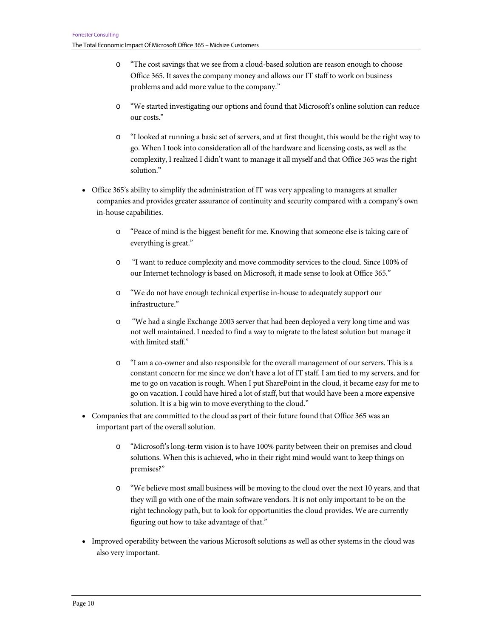- o "The cost savings that we see from a cloud-based solution are reason enough to choose Office 365. It saves the company money and allows our IT staff to work on business problems and add more value to the company."
- o "We started investigating our options and found that Microsoft's online solution can reduce our costs."
- o "I looked at running a basic set of servers, and at first thought, this would be the right way to go. When I took into consideration all of the hardware and licensing costs, as well as the complexity, I realized I didn't want to manage it all myself and that Office 365 was the right solution."
- Office 365's ability to simplify the administration of IT was very appealing to managers at smaller companies and provides greater assurance of continuity and security compared with a company's own in-house capabilities.
	- o "Peace of mind is the biggest benefit for me. Knowing that someone else is taking care of everything is great."
	- o "I want to reduce complexity and move commodity services to the cloud. Since 100% of our Internet technology is based on Microsoft, it made sense to look at Office 365."
	- o "We do not have enough technical expertise in-house to adequately support our infrastructure."
	- o "We had a single Exchange 2003 server that had been deployed a very long time and was not well maintained. I needed to find a way to migrate to the latest solution but manage it with limited staff."
	- o "I am a co-owner and also responsible for the overall management of our servers. This is a constant concern for me since we don't have a lot of IT staff. I am tied to my servers, and for me to go on vacation is rough. When I put SharePoint in the cloud, it became easy for me to go on vacation. I could have hired a lot of staff, but that would have been a more expensive solution. It is a big win to move everything to the cloud."
- Companies that are committed to the cloud as part of their future found that Office 365 was an important part of the overall solution.
	- o "Microsoft's long-term vision is to have 100% parity between their on premises and cloud solutions. When this is achieved, who in their right mind would want to keep things on premises?"
	- o "We believe most small business will be moving to the cloud over the next 10 years, and that they will go with one of the main software vendors. It is not only important to be on the right technology path, but to look for opportunities the cloud provides. We are currently figuring out how to take advantage of that."
- Improved operability between the various Microsoft solutions as well as other systems in the cloud was also very important.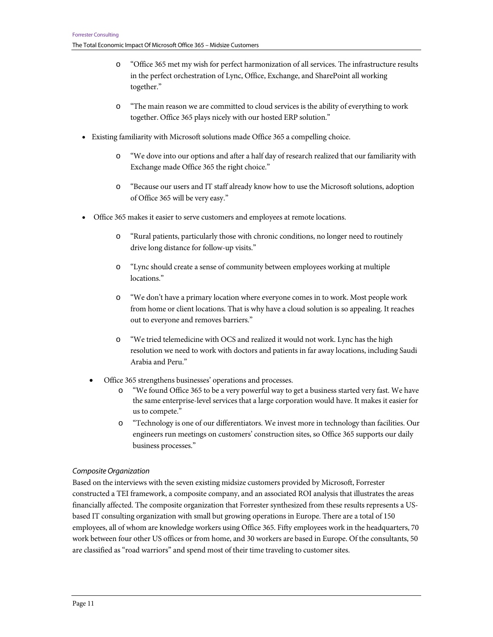- o "Office 365 met my wish for perfect harmonization of all services. The infrastructure results in the perfect orchestration of Lync, Office, Exchange, and SharePoint all working together."
- o "The main reason we are committed to cloud services is the ability of everything to work together. Office 365 plays nicely with our hosted ERP solution."
- Existing familiarity with Microsoft solutions made Office 365 a compelling choice.
	- o "We dove into our options and after a half day of research realized that our familiarity with Exchange made Office 365 the right choice."
	- o "Because our users and IT staff already know how to use the Microsoft solutions, adoption of Office 365 will be very easy."
- Office 365 makes it easier to serve customers and employees at remote locations.
	- o "Rural patients, particularly those with chronic conditions, no longer need to routinely drive long distance for follow-up visits."
	- o "Lync should create a sense of community between employees working at multiple locations."
	- o "We don't have a primary location where everyone comes in to work. Most people work from home or client locations. That is why have a cloud solution is so appealing. It reaches out to everyone and removes barriers."
	- o "We tried telemedicine with OCS and realized it would not work. Lync has the high resolution we need to work with doctors and patients in far away locations, including Saudi Arabia and Peru."
	- Office 365 strengthens businesses' operations and processes.
		- o "We found Office 365 to be a very powerful way to get a business started very fast. We have the same enterprise-level services that a large corporation would have. It makes it easier for us to compete."
		- o "Technology is one of our differentiators. We invest more in technology than facilities. Our engineers run meetings on customers' construction sites, so Office 365 supports our daily business processes."

#### Composite Organization

Based on the interviews with the seven existing midsize customers provided by Microsoft, Forrester constructed a TEI framework, a composite company, and an associated ROI analysis that illustrates the areas financially affected. The composite organization that Forrester synthesized from these results represents a USbased IT consulting organization with small but growing operations in Europe. There are a total of 150 employees, all of whom are knowledge workers using Office 365. Fifty employees work in the headquarters, 70 work between four other US offices or from home, and 30 workers are based in Europe. Of the consultants, 50 are classified as "road warriors" and spend most of their time traveling to customer sites.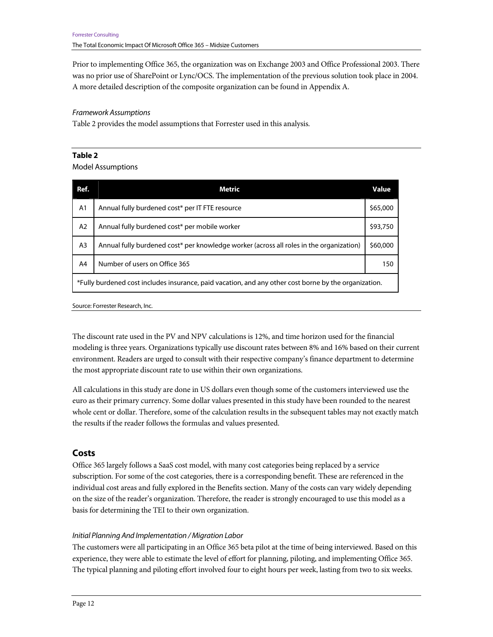Prior to implementing Office 365, the organization was on Exchange 2003 and Office Professional 2003. There was no prior use of SharePoint or Lync/OCS. The implementation of the previous solution took place in 2004. A more detailed description of the composite organization can be found in Appendix A.

#### Framework Assumptions

Table 2 provides the model assumptions that Forrester used in this analysis.

#### **Table 2**

Model Assumptions

| Ref.           | <b>Metric</b>                                                                                         | <b>Value</b> |
|----------------|-------------------------------------------------------------------------------------------------------|--------------|
| A <sub>1</sub> | Annual fully burdened cost* per IT FTE resource                                                       | \$65,000     |
| A <sub>2</sub> | Annual fully burdened cost* per mobile worker                                                         | \$93,750     |
| A3             | Annual fully burdened cost* per knowledge worker (across all roles in the organization)               | \$60,000     |
| A4             | Number of users on Office 365                                                                         | 150          |
|                | *Fully burdened cost includes insurance, paid vacation, and any other cost borne by the organization. |              |

Source: Forrester Research, Inc.

The discount rate used in the PV and NPV calculations is 12%, and time horizon used for the financial modeling is three years. Organizations typically use discount rates between 8% and 16% based on their current environment. Readers are urged to consult with their respective company's finance department to determine the most appropriate discount rate to use within their own organizations.

All calculations in this study are done in US dollars even though some of the customers interviewed use the euro as their primary currency. Some dollar values presented in this study have been rounded to the nearest whole cent or dollar. Therefore, some of the calculation results in the subsequent tables may not exactly match the results if the reader follows the formulas and values presented.

### **Costs**

Office 365 largely follows a SaaS cost model, with many cost categories being replaced by a service subscription. For some of the cost categories, there is a corresponding benefit. These are referenced in the individual cost areas and fully explored in the Benefits section. Many of the costs can vary widely depending on the size of the reader's organization. Therefore, the reader is strongly encouraged to use this model as a basis for determining the TEI to their own organization.

#### Initial Planning And Implementation / Migration Labor

The customers were all participating in an Office 365 beta pilot at the time of being interviewed. Based on this experience, they were able to estimate the level of effort for planning, piloting, and implementing Office 365. The typical planning and piloting effort involved four to eight hours per week, lasting from two to six weeks.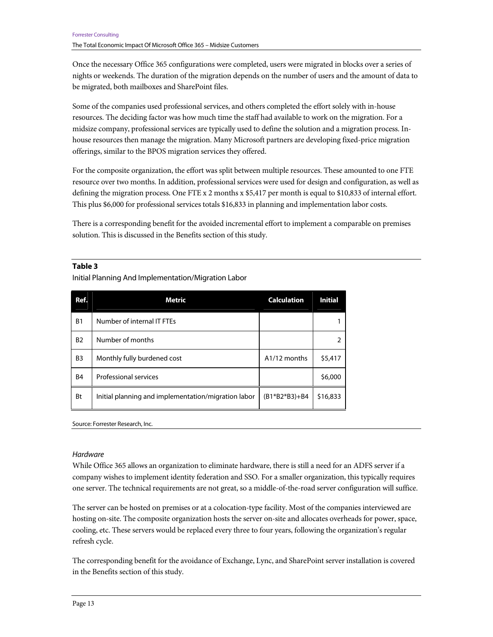Once the necessary Office 365 configurations were completed, users were migrated in blocks over a series of nights or weekends. The duration of the migration depends on the number of users and the amount of data to be migrated, both mailboxes and SharePoint files.

Some of the companies used professional services, and others completed the effort solely with in-house resources. The deciding factor was how much time the staff had available to work on the migration. For a midsize company, professional services are typically used to define the solution and a migration process. Inhouse resources then manage the migration. Many Microsoft partners are developing fixed-price migration offerings, similar to the BPOS migration services they offered.

For the composite organization, the effort was split between multiple resources. These amounted to one FTE resource over two months. In addition, professional services were used for design and configuration, as well as defining the migration process. One FTE x 2 months x \$5,417 per month is equal to \$10,833 of internal effort. This plus \$6,000 for professional services totals \$16,833 in planning and implementation labor costs.

There is a corresponding benefit for the avoided incremental effort to implement a comparable on premises solution. This is discussed in the Benefits section of this study.

#### **Table 3**

Initial Planning And Implementation/Migration Labor

| Ref.           | <b>Metric</b>                                       | <b>Calculation</b>        | <b>Initial</b> |
|----------------|-----------------------------------------------------|---------------------------|----------------|
| <b>B1</b>      | Number of internal IT FTEs                          |                           |                |
| <b>B2</b>      | Number of months                                    |                           | 2              |
| B <sub>3</sub> | Monthly fully burdened cost                         | A <sub>1</sub> /12 months | \$5,417        |
| B <sub>4</sub> | Professional services                               |                           | \$6,000        |
| Bt             | Initial planning and implementation/migration labor | $(B1*B2*B3)+B4$           | \$16,833       |

Source: Forrester Research, Inc.

#### **Hardware**

While Office 365 allows an organization to eliminate hardware, there is still a need for an ADFS server if a company wishes to implement identity federation and SSO. For a smaller organization, this typically requires one server. The technical requirements are not great, so a middle-of-the-road server configuration will suffice.

The server can be hosted on premises or at a colocation-type facility. Most of the companies interviewed are hosting on-site. The composite organization hosts the server on-site and allocates overheads for power, space, cooling, etc. These servers would be replaced every three to four years, following the organization's regular refresh cycle.

The corresponding benefit for the avoidance of Exchange, Lync, and SharePoint server installation is covered in the Benefits section of this study.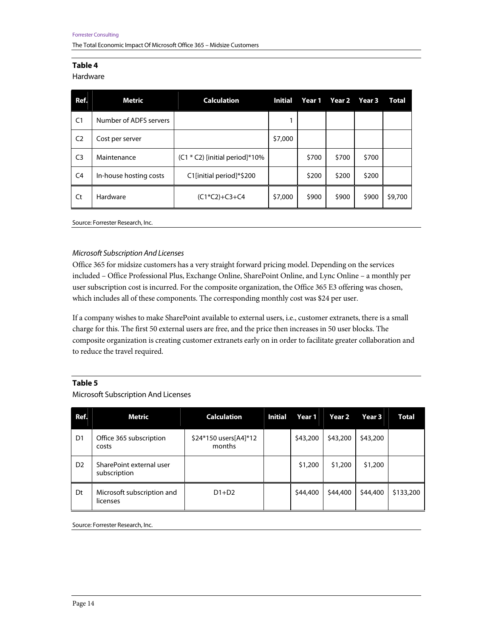#### Hardware

| Ref.           | Metric                 | <b>Calculation</b>               | <b>Initial</b> | Year 1 | Year 2 | Year 3 | Total   |
|----------------|------------------------|----------------------------------|----------------|--------|--------|--------|---------|
| C <sub>1</sub> | Number of ADFS servers |                                  |                |        |        |        |         |
| C <sub>2</sub> | Cost per server        |                                  | \$7,000        |        |        |        |         |
| C <sub>3</sub> | Maintenance            | $(C1 * C2)$ [initial period]*10% |                | \$700  | \$700  | \$700  |         |
| C <sub>4</sub> | In-house hosting costs | C1[initial period]*\$200         |                | \$200  | \$200  | \$200  |         |
| Ct             | Hardware               | $(C1*C2)+C3+C4$                  | \$7,000        | \$900  | \$900  | \$900  | \$9,700 |

Source: Forrester Research, Inc.

#### Microsoft Subscription And Licenses

Office 365 for midsize customers has a very straight forward pricing model. Depending on the services included – Office Professional Plus, Exchange Online, SharePoint Online, and Lync Online – a monthly per user subscription cost is incurred. For the composite organization, the Office 365 E3 offering was chosen, which includes all of these components. The corresponding monthly cost was \$24 per user.

If a company wishes to make SharePoint available to external users, i.e., customer extranets, there is a small charge for this. The first 50 external users are free, and the price then increases in 50 user blocks. The composite organization is creating customer extranets early on in order to facilitate greater collaboration and to reduce the travel required.

#### **Table 5**

Microsoft Subscription And Licenses

| Ref.           | Metric                                   | <b>Calculation</b>              | <b>Initial</b> | Year 1   | Year 2   | Year 3   | <b>Total</b> |
|----------------|------------------------------------------|---------------------------------|----------------|----------|----------|----------|--------------|
| D <sub>1</sub> | Office 365 subscription<br>costs         | \$24*150 users[A4]*12<br>months |                | \$43,200 | \$43,200 | \$43,200 |              |
| D <sub>2</sub> | SharePoint external user<br>subscription |                                 |                | \$1,200  | \$1,200  | \$1,200  |              |
| Dt             | Microsoft subscription and<br>licenses   | $D1+D2$                         |                | \$44,400 | \$44,400 | \$44,400 | \$133,200    |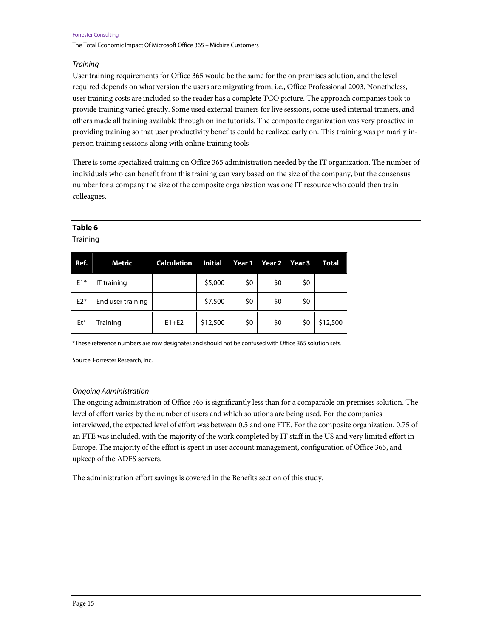#### **Training**

User training requirements for Office 365 would be the same for the on premises solution, and the level required depends on what version the users are migrating from, i.e., Office Professional 2003. Nonetheless, user training costs are included so the reader has a complete TCO picture. The approach companies took to provide training varied greatly. Some used external trainers for live sessions, some used internal trainers, and others made all training available through online tutorials. The composite organization was very proactive in providing training so that user productivity benefits could be realized early on. This training was primarily inperson training sessions along with online training tools

There is some specialized training on Office 365 administration needed by the IT organization. The number of individuals who can benefit from this training can vary based on the size of the company, but the consensus number for a company the size of the composite organization was one IT resource who could then train colleagues.

#### **Table 6**

**Training** 

| Ref.  | Metric            | <b>Calculation</b> | <b>Initial</b> |     | Year 1 Year 2 | Year 3 | <b>Total</b> |
|-------|-------------------|--------------------|----------------|-----|---------------|--------|--------------|
| $E1*$ | IT training       |                    | \$5,000        | \$0 | \$0           | \$0    |              |
| $E2*$ | End user training |                    | \$7,500        | \$0 | \$0           | \$0    |              |
| Et*   | Training          | $E1 + E2$          | \$12,500       | \$0 | \$0           | \$0    | \$12,500     |

\*These reference numbers are row designates and should not be confused with Office 365 solution sets.

Source: Forrester Research, Inc.

#### Ongoing Administration

The ongoing administration of Office 365 is significantly less than for a comparable on premises solution. The level of effort varies by the number of users and which solutions are being used. For the companies interviewed, the expected level of effort was between 0.5 and one FTE. For the composite organization, 0.75 of an FTE was included, with the majority of the work completed by IT staff in the US and very limited effort in Europe. The majority of the effort is spent in user account management, configuration of Office 365, and upkeep of the ADFS servers.

The administration effort savings is covered in the Benefits section of this study.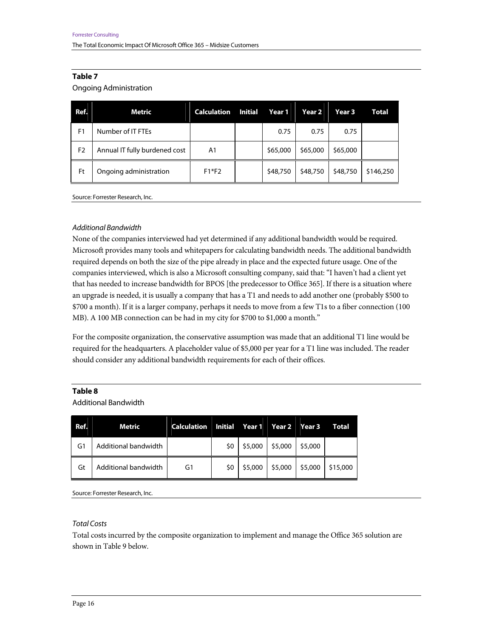#### Ongoing Administration

| Ref.           | <b>Metric</b>                 | <b>Calculation</b> | <b>Initial</b> | Year 1   | Year 2   | Year 3   | Total     |
|----------------|-------------------------------|--------------------|----------------|----------|----------|----------|-----------|
| F1             | Number of IT FTEs             |                    |                | 0.75     | 0.75     | 0.75     |           |
| F <sub>2</sub> | Annual IT fully burdened cost | A1                 |                | \$65,000 | \$65,000 | \$65,000 |           |
| Ft             | Ongoing administration        | $F1*F2$            |                | \$48,750 | \$48,750 | \$48,750 | \$146,250 |

Source: Forrester Research, Inc.

#### Additional Bandwidth

None of the companies interviewed had yet determined if any additional bandwidth would be required. Microsoft provides many tools and whitepapers for calculating bandwidth needs. The additional bandwidth required depends on both the size of the pipe already in place and the expected future usage. One of the companies interviewed, which is also a Microsoft consulting company, said that: "I haven't had a client yet that has needed to increase bandwidth for BPOS [the predecessor to Office 365]. If there is a situation where an upgrade is needed, it is usually a company that has a T1 and needs to add another one (probably \$500 to \$700 a month). If it is a larger company, perhaps it needs to move from a few T1s to a fiber connection (100 MB). A 100 MB connection can be had in my city for \$700 to \$1,000 a month."

For the composite organization, the conservative assumption was made that an additional T1 line would be required for the headquarters. A placeholder value of \$5,000 per year for a T1 line was included. The reader should consider any additional bandwidth requirements for each of their offices.

#### **Table 8**

Additional Bandwidth

| Ref. | <b>Metric</b>        | <b>Calculation</b> |     | Initial Year 1 Year 2 Year 3 |         |         | Total    |
|------|----------------------|--------------------|-----|------------------------------|---------|---------|----------|
| G1   | Additional bandwidth |                    | \$0 | \$5,000                      | \$5,000 | \$5,000 |          |
| Gt   | Additional bandwidth | G1                 | \$0 | \$5,000                      | \$5,000 | \$5,000 | \$15,000 |

Source: Forrester Research, Inc.

Total Costs

Total costs incurred by the composite organization to implement and manage the Office 365 solution are shown in Table 9 below.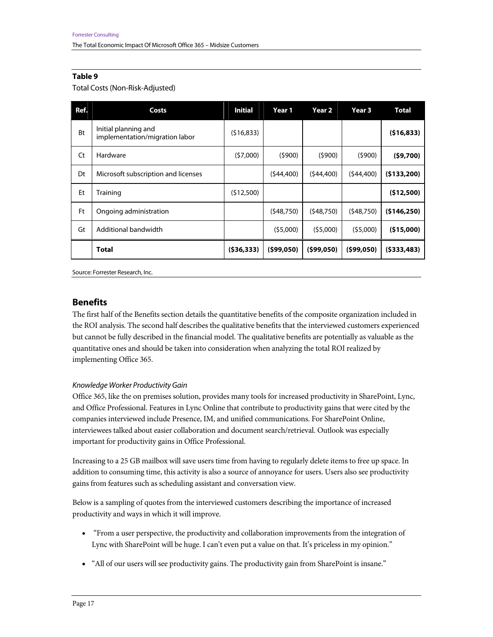#### Total Costs (Non-Risk-Adjusted)

| Ref.      | Costs                                                  | <b>Initial</b> | Year 1     | Year 2     | Year 3     | <b>Total</b> |
|-----------|--------------------------------------------------------|----------------|------------|------------|------------|--------------|
| <b>Bt</b> | Initial planning and<br>implementation/migration labor | (516, 833)     |            |            |            | (516, 833)   |
| Ct        | Hardware                                               | (57,000)       | (5900)     | (5900)     | (5900)     | (59,700)     |
| Dt        | Microsoft subscription and licenses                    |                | (544, 400) | (544, 400) | (544, 400) | (5133,200)   |
| Et        | Training                                               | (512,500)      |            |            |            | (512,500)    |
| Ft        | Ongoing administration                                 |                | (548.750)  | (548.750)  | (548,750)  | (5146, 250)  |
| Gt        | Additional bandwidth                                   |                | (55,000)   | (55,000)   | (55,000)   | (\$15,000)   |
|           | <b>Total</b>                                           | (536, 333)     | (599,050)  | (599,050)  | (599,050)  | (5333, 483)  |

Source: Forrester Research, Inc.

# **Benefits**

The first half of the Benefits section details the quantitative benefits of the composite organization included in the ROI analysis. The second half describes the qualitative benefits that the interviewed customers experienced but cannot be fully described in the financial model. The qualitative benefits are potentially as valuable as the quantitative ones and should be taken into consideration when analyzing the total ROI realized by implementing Office 365.

#### Knowledge Worker Productivity Gain

Office 365, like the on premises solution, provides many tools for increased productivity in SharePoint, Lync, and Office Professional. Features in Lync Online that contribute to productivity gains that were cited by the companies interviewed include Presence, IM, and unified communications. For SharePoint Online, interviewees talked about easier collaboration and document search/retrieval. Outlook was especially important for productivity gains in Office Professional.

Increasing to a 25 GB mailbox will save users time from having to regularly delete items to free up space. In addition to consuming time, this activity is also a source of annoyance for users. Users also see productivity gains from features such as scheduling assistant and conversation view.

Below is a sampling of quotes from the interviewed customers describing the importance of increased productivity and ways in which it will improve.

- "From a user perspective, the productivity and collaboration improvements from the integration of Lync with SharePoint will be huge. I can't even put a value on that. It's priceless in my opinion."
- "All of our users will see productivity gains. The productivity gain from SharePoint is insane."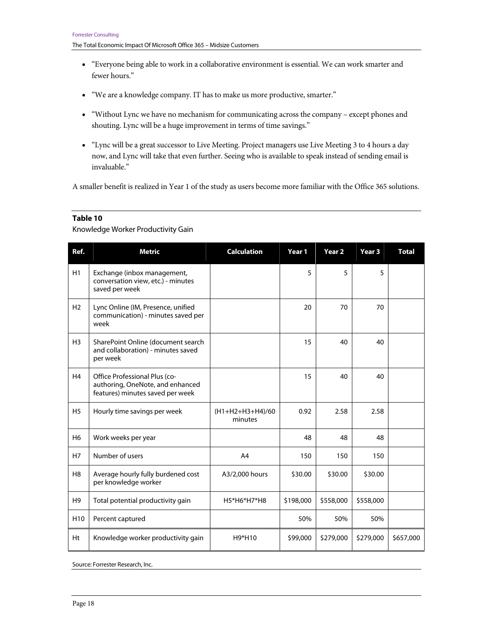- "Everyone being able to work in a collaborative environment is essential. We can work smarter and fewer hours."
- "We are a knowledge company. IT has to make us more productive, smarter."
- "Without Lync we have no mechanism for communicating across the company except phones and shouting. Lync will be a huge improvement in terms of time savings."
- "Lync will be a great successor to Live Meeting. Project managers use Live Meeting 3 to 4 hours a day now, and Lync will take that even further. Seeing who is available to speak instead of sending email is invaluable."

A smaller benefit is realized in Year 1 of the study as users become more familiar with the Office 365 solutions.

#### **Table 10**

Knowledge Worker Productivity Gain

| Ref.            | <b>Metric</b>                                                                                         | <b>Calculation</b>            | Year 1    | Year <sub>2</sub> | Year 3    | <b>Total</b> |
|-----------------|-------------------------------------------------------------------------------------------------------|-------------------------------|-----------|-------------------|-----------|--------------|
| H1              | Exchange (inbox management,<br>conversation view, etc.) - minutes<br>saved per week                   |                               | 5         | 5                 | 5         |              |
| H <sub>2</sub>  | Lync Online (IM, Presence, unified<br>communication) - minutes saved per<br>week                      |                               | 20        | 70                | 70        |              |
| H <sub>3</sub>  | SharePoint Online (document search<br>and collaboration) - minutes saved<br>per week                  |                               | 15        | 40                | 40        |              |
| H <sub>4</sub>  | Office Professional Plus (co-<br>authoring, OneNote, and enhanced<br>features) minutes saved per week |                               | 15        | 40                | 40        |              |
| <b>H5</b>       | Hourly time savings per week                                                                          | $(H1+H2+H3+H4)/60$<br>minutes | 0.92      | 2.58              | 2.58      |              |
| H <sub>6</sub>  | Work weeks per year                                                                                   |                               | 48        | 48                | 48        |              |
| H7              | Number of users                                                                                       | A <sub>4</sub>                | 150       | 150               | 150       |              |
| H <sub>8</sub>  | Average hourly fully burdened cost<br>per knowledge worker                                            | A3/2,000 hours                | \$30.00   | \$30.00           | \$30.00   |              |
| H <sub>9</sub>  | Total potential productivity gain                                                                     | H5*H6*H7*H8                   | \$198,000 | \$558,000         | \$558,000 |              |
| H <sub>10</sub> | Percent captured                                                                                      |                               | 50%       | 50%               | 50%       |              |
| Ht              | Knowledge worker productivity gain                                                                    | H9*H10                        | \$99,000  | \$279,000         | \$279,000 | \$657,000    |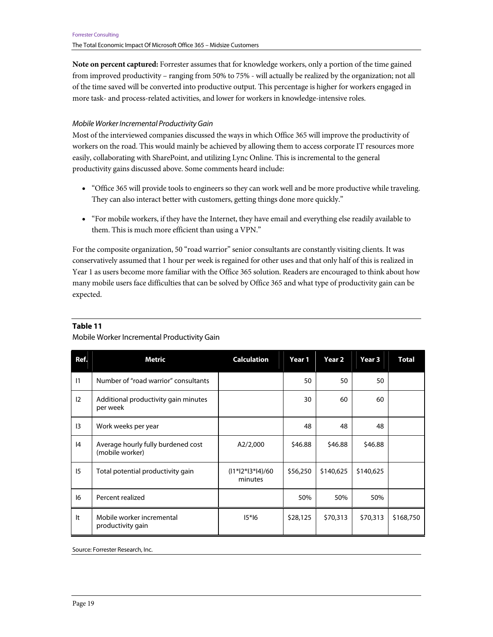**Note on percent captured:** Forrester assumes that for knowledge workers, only a portion of the time gained from improved productivity – ranging from 50% to 75% - will actually be realized by the organization; not all of the time saved will be converted into productive output. This percentage is higher for workers engaged in more task- and process-related activities, and lower for workers in knowledge-intensive roles.

#### Mobile Worker Incremental Productivity Gain

Most of the interviewed companies discussed the ways in which Office 365 will improve the productivity of workers on the road. This would mainly be achieved by allowing them to access corporate IT resources more easily, collaborating with SharePoint, and utilizing Lync Online. This is incremental to the general productivity gains discussed above. Some comments heard include:

- "Office 365 will provide tools to engineers so they can work well and be more productive while traveling. They can also interact better with customers, getting things done more quickly."
- "For mobile workers, if they have the Internet, they have email and everything else readily available to them. This is much more efficient than using a VPN."

For the composite organization, 50 "road warrior" senior consultants are constantly visiting clients. It was conservatively assumed that 1 hour per week is regained for other uses and that only half of this is realized in Year 1 as users become more familiar with the Office 365 solution. Readers are encouraged to think about how many mobile users face difficulties that can be solved by Office 365 and what type of productivity gain can be expected.

| Ref. | Metric                                                | <b>Calculation</b>            | Year 1   | Year 2    | Year 3    | <b>Total</b> |
|------|-------------------------------------------------------|-------------------------------|----------|-----------|-----------|--------------|
| 1    | Number of "road warrior" consultants                  |                               | 50       | 50        | 50        |              |
| 12   | Additional productivity gain minutes<br>per week      |                               | 30       | 60        | 60        |              |
| 13   | Work weeks per year                                   |                               | 48       | 48        | 48        |              |
| 4    | Average hourly fully burdened cost<br>(mobile worker) | A2/2,000                      | \$46.88  | \$46.88   | \$46.88   |              |
| 15   | Total potential productivity gain                     | $(11*12*13*14)/60$<br>minutes | \$56,250 | \$140,625 | \$140,625 |              |
| 16   | Percent realized                                      |                               | 50%      | 50%       | 50%       |              |
| It   | Mobile worker incremental<br>productivity gain        | $15*16$                       | \$28,125 | \$70,313  | \$70,313  | \$168,750    |

#### **Table 11**

Mobile Worker Incremental Productivity Gain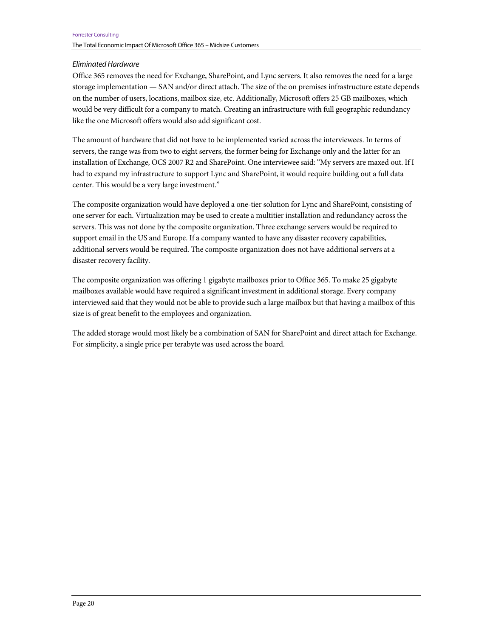### Eliminated Hardware

Office 365 removes the need for Exchange, SharePoint, and Lync servers. It also removes the need for a large storage implementation — SAN and/or direct attach. The size of the on premises infrastructure estate depends on the number of users, locations, mailbox size, etc. Additionally, Microsoft offers 25 GB mailboxes, which would be very difficult for a company to match. Creating an infrastructure with full geographic redundancy like the one Microsoft offers would also add significant cost.

The amount of hardware that did not have to be implemented varied across the interviewees. In terms of servers, the range was from two to eight servers, the former being for Exchange only and the latter for an installation of Exchange, OCS 2007 R2 and SharePoint. One interviewee said: "My servers are maxed out. If I had to expand my infrastructure to support Lync and SharePoint, it would require building out a full data center. This would be a very large investment."

The composite organization would have deployed a one-tier solution for Lync and SharePoint, consisting of one server for each. Virtualization may be used to create a multitier installation and redundancy across the servers. This was not done by the composite organization. Three exchange servers would be required to support email in the US and Europe. If a company wanted to have any disaster recovery capabilities, additional servers would be required. The composite organization does not have additional servers at a disaster recovery facility.

The composite organization was offering 1 gigabyte mailboxes prior to Office 365. To make 25 gigabyte mailboxes available would have required a significant investment in additional storage. Every company interviewed said that they would not be able to provide such a large mailbox but that having a mailbox of this size is of great benefit to the employees and organization.

The added storage would most likely be a combination of SAN for SharePoint and direct attach for Exchange. For simplicity, a single price per terabyte was used across the board.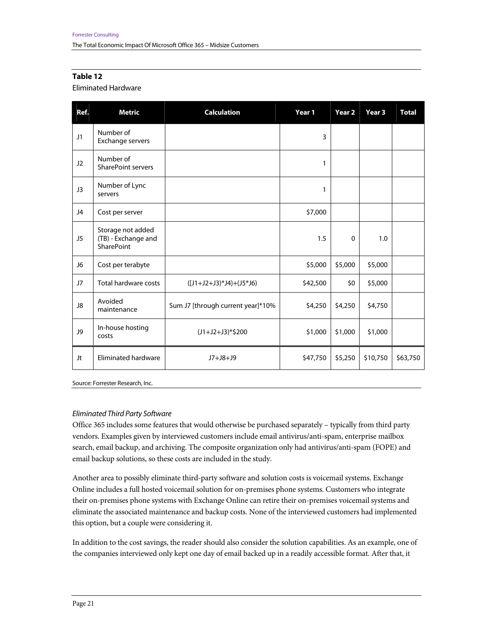#### Eliminated Hardware

| Ref. | <b>Metric</b>                                                 | <b>Calculation</b>                | Year 1   | Year <sub>2</sub> | Year <sub>3</sub> | <b>Total</b> |
|------|---------------------------------------------------------------|-----------------------------------|----------|-------------------|-------------------|--------------|
| J1   | Number of<br>Exchange servers                                 |                                   | 3        |                   |                   |              |
| J2   | Number of<br>SharePoint servers                               |                                   | 1        |                   |                   |              |
| J3   | Number of Lync<br>servers                                     |                                   | 1        |                   |                   |              |
| J4   | Cost per server                                               |                                   | \$7,000  |                   |                   |              |
| J5   | Storage not added<br>(TB) - Exchange and<br><b>SharePoint</b> |                                   | 1.5      | 0                 | 1.0               |              |
| J6   | Cost per terabyte                                             |                                   | \$5,000  | \$5,000           | \$5,000           |              |
| J7   | <b>Total hardware costs</b>                                   | $(I1+J2+J3)*J4+(J5*J6)$           | \$42,500 | \$0               | \$5,000           |              |
| J8   | Avoided<br>maintenance                                        | Sum J7 [through current year]*10% | \$4,250  | \$4,250           | \$4,750           |              |
| J9   | In-house hosting<br>costs                                     | $(J1+J2+J3)*$200$                 | \$1,000  | \$1,000           | \$1,000           |              |
| Jt   | Eliminated hardware                                           | $J7+J8+J9$                        | \$47,750 | \$5,250           | \$10,750          | \$63,750     |

Source: Forrester Research, Inc.

#### Eliminated Third Party Software

Office 365 includes some features that would otherwise be purchased separately – typically from third party vendors. Examples given by interviewed customers include email antivirus/anti-spam, enterprise mailbox search, email backup, and archiving. The composite organization only had antivirus/anti-spam (FOPE) and email backup solutions, so these costs are included in the study.

Another area to possibly eliminate third-party software and solution costs is voicemail systems. Exchange Online includes a full hosted voicemail solution for on-premises phone systems. Customers who integrate their on-premises phone systems with Exchange Online can retire their on-premises voicemail systems and eliminate the associated maintenance and backup costs. None of the interviewed customers had implemented this option, but a couple were considering it.

In addition to the cost savings, the reader should also consider the solution capabilities. As an example, one of the companies interviewed only kept one day of email backed up in a readily accessible format. After that, it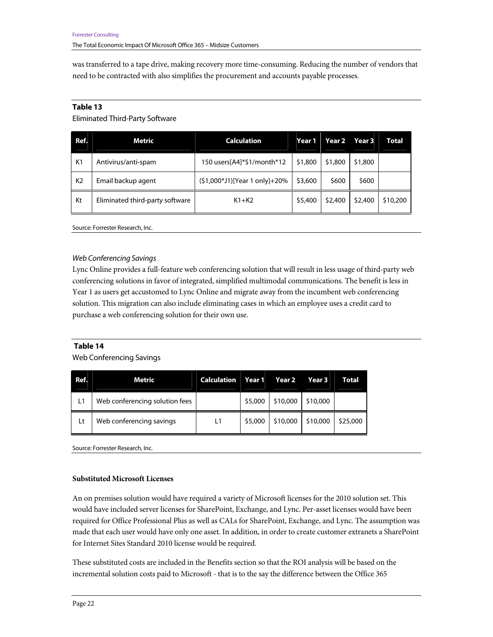was transferred to a tape drive, making recovery more time-consuming. Reducing the number of vendors that need to be contracted with also simplifies the procurement and accounts payable processes.

#### **Table 13**

Eliminated Third-Party Software

| Ref.           | Metric                          | <b>Calculation</b>            | Year 1  | Year 2  | Year 3  | Total    |
|----------------|---------------------------------|-------------------------------|---------|---------|---------|----------|
| K1             | Antivirus/anti-spam             |                               | \$1,800 | \$1,800 | \$1,800 |          |
| K <sub>2</sub> | Email backup agent              | (\$1,000*J1)[Year 1 only]+20% | \$3,600 | \$600   | \$600   |          |
| Kt             | Eliminated third-party software | $K1+K2$                       | \$5,400 | \$2,400 | \$2,400 | \$10,200 |

Source: Forrester Research, Inc.

#### Web Conferencing Savings

Lync Online provides a full-feature web conferencing solution that will result in less usage of third-party web conferencing solutions in favor of integrated, simplified multimodal communications. The benefit is less in Year 1 as users get accustomed to Lync Online and migrate away from the incumbent web conferencing solution. This migration can also include eliminating cases in which an employee uses a credit card to purchase a web conferencing solution for their own use.

#### **Table 14**

Web Conferencing Savings

| Ref. | Metric                         | Calculation |         | Year 1 Year 2 | Year 3   | <b>Total</b> |
|------|--------------------------------|-------------|---------|---------------|----------|--------------|
| L1   | Web conferencing solution fees |             | \$5,000 | \$10,000      | \$10,000 |              |
| Lt   | Web conferencing savings       | L1          | \$5,000 | \$10,000      | \$10,000 | \$25,000     |

Source: Forrester Research, Inc.

#### **Substituted Microsoft Licenses**

An on premises solution would have required a variety of Microsoft licenses for the 2010 solution set. This would have included server licenses for SharePoint, Exchange, and Lync. Per-asset licenses would have been required for Office Professional Plus as well as CALs for SharePoint, Exchange, and Lync. The assumption was made that each user would have only one asset. In addition, in order to create customer extranets a SharePoint for Internet Sites Standard 2010 license would be required.

These substituted costs are included in the Benefits section so that the ROI analysis will be based on the incremental solution costs paid to Microsoft - that is to the say the difference between the Office 365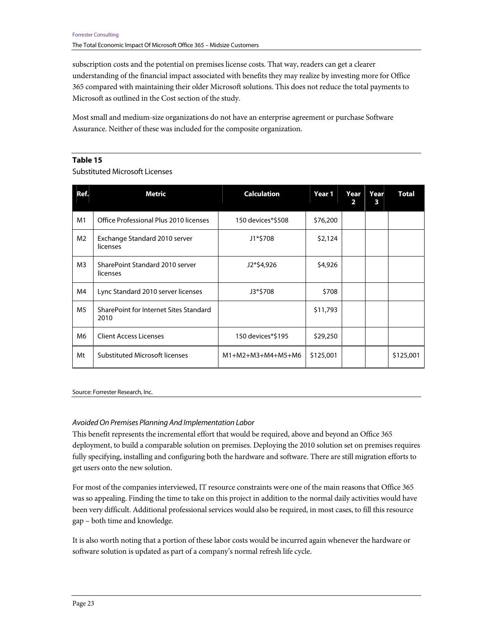subscription costs and the potential on premises license costs. That way, readers can get a clearer understanding of the financial impact associated with benefits they may realize by investing more for Office 365 compared with maintaining their older Microsoft solutions. This does not reduce the total payments to Microsoft as outlined in the Cost section of the study.

Most small and medium-size organizations do not have an enterprise agreement or purchase Software Assurance. Neither of these was included for the composite organization.

#### **Table 15**

#### Substituted Microsoft Licenses

| Ref.           | Metric                                         | <b>Calculation</b>  | Year 1    | Year<br>2 | Year<br>3 | <b>Total</b> |
|----------------|------------------------------------------------|---------------------|-----------|-----------|-----------|--------------|
| M1             | Office Professional Plus 2010 licenses         | 150 devices*\$508   | \$76,200  |           |           |              |
| M <sub>2</sub> | Exchange Standard 2010 server<br>licenses      | J1*\$708            | \$2,124   |           |           |              |
| M <sub>3</sub> | SharePoint Standard 2010 server<br>licenses    | J2*\$4,926          | \$4,926   |           |           |              |
| M4             | Lync Standard 2010 server licenses             | J3*\$708            | \$708     |           |           |              |
| M <sub>5</sub> | SharePoint for Internet Sites Standard<br>2010 |                     | \$11,793  |           |           |              |
| M <sub>6</sub> | <b>Client Access Licenses</b>                  | 150 devices*\$195   | \$29,250  |           |           |              |
| Mt             | <b>Substituted Microsoft licenses</b>          | $M1+M2+M3+M4+M5+M6$ | \$125,001 |           |           | \$125,001    |

#### Source: Forrester Research, Inc.

#### Avoided On Premises Planning And Implementation Labor

This benefit represents the incremental effort that would be required, above and beyond an Office 365 deployment, to build a comparable solution on premises. Deploying the 2010 solution set on premises requires fully specifying, installing and configuring both the hardware and software. There are still migration efforts to get users onto the new solution.

For most of the companies interviewed, IT resource constraints were one of the main reasons that Office 365 was so appealing. Finding the time to take on this project in addition to the normal daily activities would have been very difficult. Additional professional services would also be required, in most cases, to fill this resource gap – both time and knowledge.

It is also worth noting that a portion of these labor costs would be incurred again whenever the hardware or software solution is updated as part of a company's normal refresh life cycle.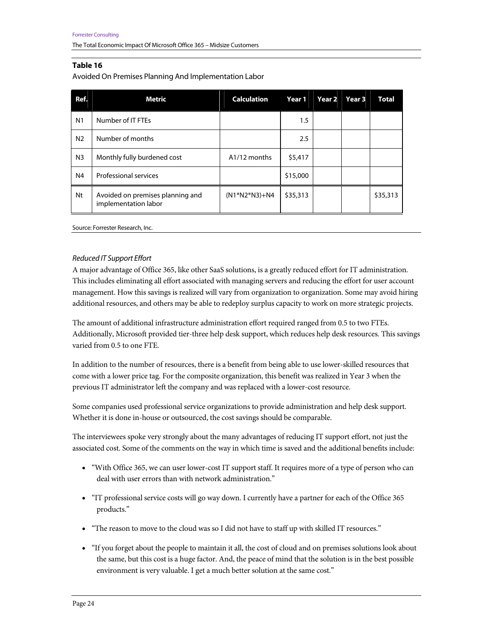Avoided On Premises Planning And Implementation Labor

| Ref.           | Metric                                                   | <b>Calculation</b>        | Year 1   | Year 2 | Year 3 | <b>Total</b> |
|----------------|----------------------------------------------------------|---------------------------|----------|--------|--------|--------------|
| N <sub>1</sub> | Number of IT FTEs                                        |                           | 1.5      |        |        |              |
| N <sub>2</sub> | Number of months                                         |                           | 2.5      |        |        |              |
| N <sub>3</sub> | Monthly fully burdened cost                              | A <sub>1</sub> /12 months | \$5,417  |        |        |              |
| N4             | Professional services                                    |                           | \$15,000 |        |        |              |
| Nt             | Avoided on premises planning and<br>implementation labor | $(N1*N2*N3)+N4$           | \$35,313 |        |        | \$35,313     |

Source: Forrester Research, Inc.

#### Reduced IT Support Effort

A major advantage of Office 365, like other SaaS solutions, is a greatly reduced effort for IT administration. This includes eliminating all effort associated with managing servers and reducing the effort for user account management. How this savings is realized will vary from organization to organization. Some may avoid hiring additional resources, and others may be able to redeploy surplus capacity to work on more strategic projects.

The amount of additional infrastructure administration effort required ranged from 0.5 to two FTEs. Additionally, Microsoft provided tier-three help desk support, which reduces help desk resources. This savings varied from 0.5 to one FTE.

In addition to the number of resources, there is a benefit from being able to use lower-skilled resources that come with a lower price tag. For the composite organization, this benefit was realized in Year 3 when the previous IT administrator left the company and was replaced with a lower-cost resource.

Some companies used professional service organizations to provide administration and help desk support. Whether it is done in-house or outsourced, the cost savings should be comparable.

The interviewees spoke very strongly about the many advantages of reducing IT support effort, not just the associated cost. Some of the comments on the way in which time is saved and the additional benefits include:

- "With Office 365, we can user lower-cost IT support staff. It requires more of a type of person who can deal with user errors than with network administration."
- "IT professional service costs will go way down. I currently have a partner for each of the Office 365 products."
- "The reason to move to the cloud was so I did not have to staff up with skilled IT resources."
- "If you forget about the people to maintain it all, the cost of cloud and on premises solutions look about the same, but this cost is a huge factor. And, the peace of mind that the solution is in the best possible environment is very valuable. I get a much better solution at the same cost."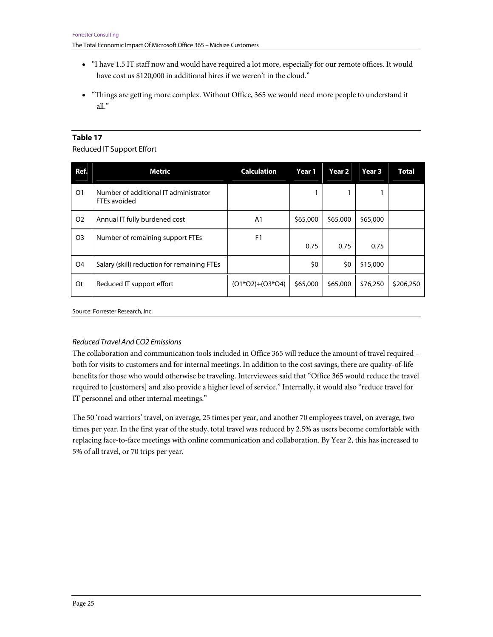- "I have 1.5 IT staff now and would have required a lot more, especially for our remote offices. It would have cost us \$120,000 in additional hires if we weren't in the cloud."
- "Things are getting more complex. Without Office, 365 we would need more people to understand it all."

Reduced IT Support Effort

| Ref.           | <b>Metric</b>                                         | <b>Calculation</b> | Year 1   | Year 2   | Year <sub>3</sub> | <b>Total</b> |
|----------------|-------------------------------------------------------|--------------------|----------|----------|-------------------|--------------|
| O <sub>1</sub> | Number of additional IT administrator<br>FTEs avoided |                    |          |          |                   |              |
| O <sub>2</sub> | Annual IT fully burdened cost                         | A1                 | \$65,000 | \$65,000 | \$65,000          |              |
| O <sub>3</sub> | Number of remaining support FTEs                      | F1                 | 0.75     | 0.75     | 0.75              |              |
| O <sub>4</sub> | Salary (skill) reduction for remaining FTEs           |                    | \$0      | \$0      | \$15,000          |              |
| 0t             | Reduced IT support effort                             | $(01*02)+(03*04)$  | \$65,000 | \$65,000 | \$76,250          | \$206,250    |

Source: Forrester Research, Inc.

#### Reduced Travel And CO2 Emissions

The collaboration and communication tools included in Office 365 will reduce the amount of travel required – both for visits to customers and for internal meetings. In addition to the cost savings, there are quality-of-life benefits for those who would otherwise be traveling. Interviewees said that "Office 365 would reduce the travel required to [customers] and also provide a higher level of service." Internally, it would also "reduce travel for IT personnel and other internal meetings."

The 50 'road warriors' travel, on average, 25 times per year, and another 70 employees travel, on average, two times per year. In the first year of the study, total travel was reduced by 2.5% as users become comfortable with replacing face-to-face meetings with online communication and collaboration. By Year 2, this has increased to 5% of all travel, or 70 trips per year.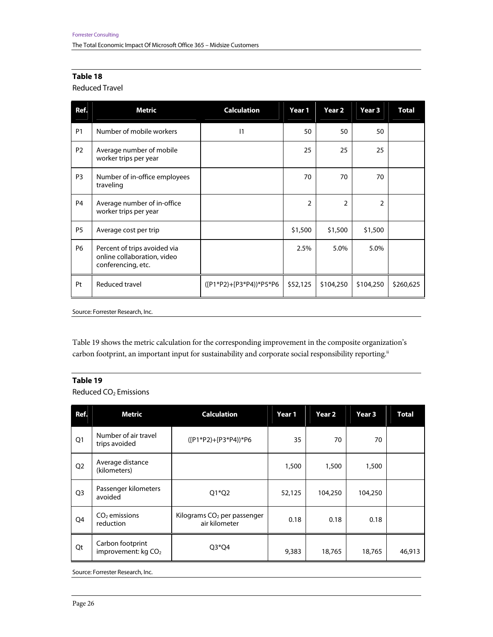Reduced Travel

| Ref.           | <b>Metric</b>                                                                     | <b>Calculation</b>        | Year 1         | Year <sub>2</sub> | Year 3         | <b>Total</b> |
|----------------|-----------------------------------------------------------------------------------|---------------------------|----------------|-------------------|----------------|--------------|
| <b>P1</b>      | Number of mobile workers                                                          | 1                         | 50             | 50                | 50             |              |
| <b>P2</b>      | Average number of mobile<br>worker trips per year                                 |                           | 25             | 25                | 25             |              |
| P <sub>3</sub> | Number of in-office employees<br>traveling                                        |                           | 70             | 70                | 70             |              |
| <b>P4</b>      | Average number of in-office<br>worker trips per year                              |                           | $\overline{2}$ | $\overline{2}$    | $\overline{2}$ |              |
| P <sub>5</sub> | Average cost per trip                                                             |                           | \$1,500        | \$1,500           | \$1,500        |              |
| <b>P6</b>      | Percent of trips avoided via<br>online collaboration, video<br>conferencing, etc. |                           | 2.5%           | 5.0%              | 5.0%           |              |
| Pt             | Reduced travel                                                                    | $([P1*P2]+[P3*P4))*P5*P6$ | \$52,125       | \$104,250         | \$104,250      | \$260,625    |

Source: Forrester Research, Inc.

Table 19 shows the metric calculation for the corresponding improvement in the composite organization's carbon footprint, an important input for sustainability and corporate social responsibility reporting.<sup>ii</sup>

#### **Table 19**

Reduced CO<sub>2</sub> Emissions

| Ref.           | Metric                                              | <b>Calculation</b>                                       | Year 1 | Year <sub>2</sub> | Year 3  | <b>Total</b> |
|----------------|-----------------------------------------------------|----------------------------------------------------------|--------|-------------------|---------|--------------|
| Q <sub>1</sub> | Number of air travel<br>trips avoided               | $([P1*P2]+[P3*P4))*P6$                                   | 35     | 70                | 70      |              |
| Q <sub>2</sub> | Average distance<br>(kilometers)                    |                                                          | 1,500  | 1,500             | 1,500   |              |
| Q <sub>3</sub> | Passenger kilometers<br>avoided                     | $Q1*Q2$                                                  | 52,125 | 104,250           | 104,250 |              |
| Q4             | $CO2$ emissions<br>reduction                        | Kilograms CO <sub>2</sub> per passenger<br>air kilometer | 0.18   | 0.18              | 0.18    |              |
| Qt             | Carbon footprint<br>improvement: kg CO <sub>2</sub> | $Q3*Q4$                                                  | 9,383  | 18,765            | 18,765  | 46,913       |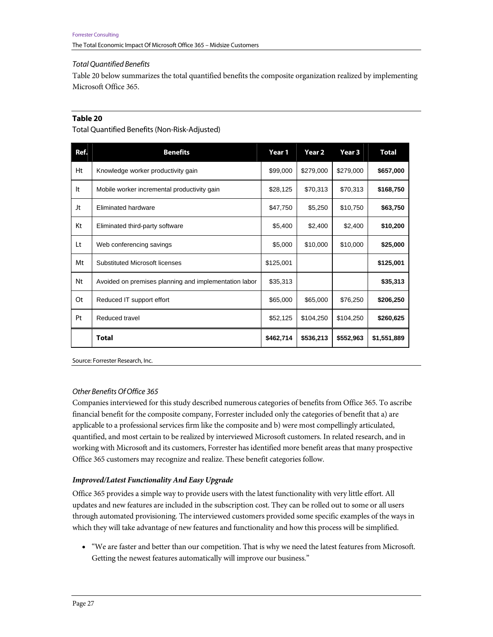#### Total Quantified Benefits

Table 20 below summarizes the total quantified benefits the composite organization realized by implementing Microsoft Office 365.

### **Table 20**

Total Quantified Benefits (Non-Risk-Adjusted)

| Ref. | <b>Benefits</b>                                       | Year 1    | Year 2    | Year 3    | <b>Total</b> |
|------|-------------------------------------------------------|-----------|-----------|-----------|--------------|
| Ht   | Knowledge worker productivity gain                    | \$99,000  | \$279,000 | \$279,000 | \$657,000    |
| It   | Mobile worker incremental productivity gain           | \$28,125  | \$70,313  | \$70,313  | \$168,750    |
| Jt   | Eliminated hardware                                   | \$47,750  | \$5,250   | \$10,750  | \$63,750     |
| Kt   | Eliminated third-party software                       | \$5,400   | \$2,400   | \$2,400   | \$10,200     |
| Lt   | Web conferencing savings                              | \$5,000   | \$10,000  | \$10,000  | \$25,000     |
| Mt   | Substituted Microsoft licenses                        | \$125,001 |           |           | \$125,001    |
| Nt   | Avoided on premises planning and implementation labor | \$35,313  |           |           | \$35,313     |
| 0t   | Reduced IT support effort                             | \$65,000  | \$65,000  | \$76,250  | \$206,250    |
| Pt   | Reduced travel                                        | \$52,125  | \$104,250 | \$104,250 | \$260,625    |
|      | <b>Total</b>                                          | \$462,714 | \$536,213 | \$552,963 | \$1,551,889  |

Source: Forrester Research, Inc.

#### Other Benefits Of Office 365

Companies interviewed for this study described numerous categories of benefits from Office 365. To ascribe financial benefit for the composite company, Forrester included only the categories of benefit that a) are applicable to a professional services firm like the composite and b) were most compellingly articulated, quantified, and most certain to be realized by interviewed Microsoft customers. In related research, and in working with Microsoft and its customers, Forrester has identified more benefit areas that many prospective Office 365 customers may recognize and realize. These benefit categories follow.

#### *Improved/Latest Functionality And Easy Upgrade*

Office 365 provides a simple way to provide users with the latest functionality with very little effort. All updates and new features are included in the subscription cost. They can be rolled out to some or all users through automated provisioning. The interviewed customers provided some specific examples of the ways in which they will take advantage of new features and functionality and how this process will be simplified.

• "We are faster and better than our competition. That is why we need the latest features from Microsoft. Getting the newest features automatically will improve our business."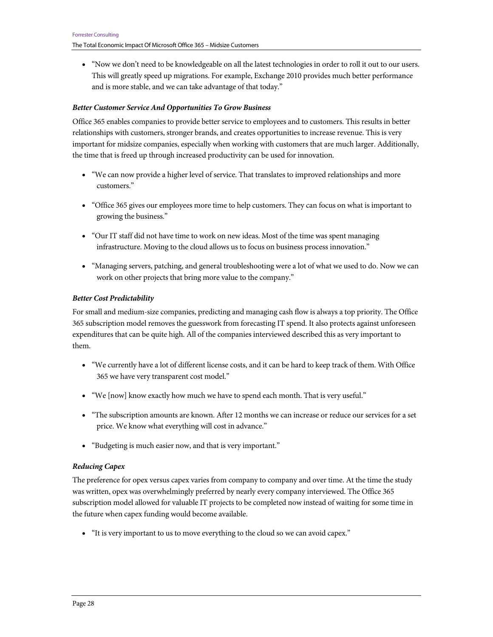• "Now we don't need to be knowledgeable on all the latest technologies in order to roll it out to our users. This will greatly speed up migrations. For example, Exchange 2010 provides much better performance and is more stable, and we can take advantage of that today."

#### *Better Customer Service And Opportunities To Grow Business*

Office 365 enables companies to provide better service to employees and to customers. This results in better relationships with customers, stronger brands, and creates opportunities to increase revenue. This is very important for midsize companies, especially when working with customers that are much larger. Additionally, the time that is freed up through increased productivity can be used for innovation.

- "We can now provide a higher level of service. That translates to improved relationships and more customers."
- "Office 365 gives our employees more time to help customers. They can focus on what is important to growing the business."
- "Our IT staff did not have time to work on new ideas. Most of the time was spent managing infrastructure. Moving to the cloud allows us to focus on business process innovation."
- "Managing servers, patching, and general troubleshooting were a lot of what we used to do. Now we can work on other projects that bring more value to the company."

#### *Better Cost Predictability*

For small and medium-size companies, predicting and managing cash flow is always a top priority. The Office 365 subscription model removes the guesswork from forecasting IT spend. It also protects against unforeseen expenditures that can be quite high. All of the companies interviewed described this as very important to them.

- "We currently have a lot of different license costs, and it can be hard to keep track of them. With Office 365 we have very transparent cost model."
- "We [now] know exactly how much we have to spend each month. That is very useful."
- "The subscription amounts are known. After 12 months we can increase or reduce our services for a set price. We know what everything will cost in advance."
- "Budgeting is much easier now, and that is very important."

#### *Reducing Capex*

The preference for opex versus capex varies from company to company and over time. At the time the study was written, opex was overwhelmingly preferred by nearly every company interviewed. The Office 365 subscription model allowed for valuable IT projects to be completed now instead of waiting for some time in the future when capex funding would become available.

• "It is very important to us to move everything to the cloud so we can avoid capex."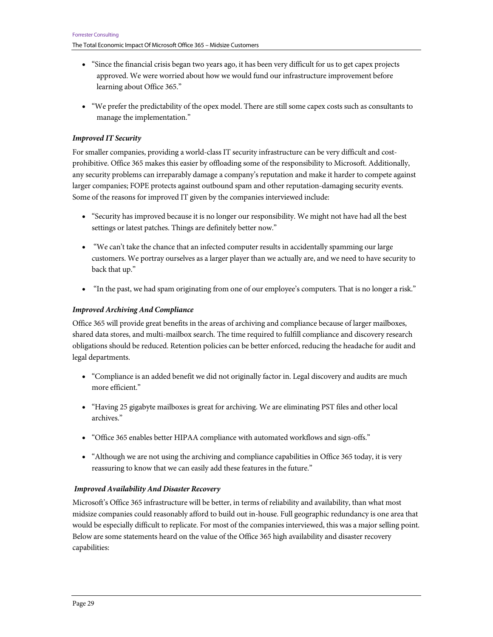- "Since the financial crisis began two years ago, it has been very difficult for us to get capex projects approved. We were worried about how we would fund our infrastructure improvement before learning about Office 365."
- "We prefer the predictability of the opex model. There are still some capex costs such as consultants to manage the implementation."

#### *Improved IT Security*

For smaller companies, providing a world-class IT security infrastructure can be very difficult and costprohibitive. Office 365 makes this easier by offloading some of the responsibility to Microsoft. Additionally, any security problems can irreparably damage a company's reputation and make it harder to compete against larger companies; FOPE protects against outbound spam and other reputation-damaging security events. Some of the reasons for improved IT given by the companies interviewed include:

- "Security has improved because it is no longer our responsibility. We might not have had all the best settings or latest patches. Things are definitely better now."
- "We can't take the chance that an infected computer results in accidentally spamming our large customers. We portray ourselves as a larger player than we actually are, and we need to have security to back that up."
- "In the past, we had spam originating from one of our employee's computers. That is no longer a risk."

#### *Improved Archiving And Compliance*

Office 365 will provide great benefits in the areas of archiving and compliance because of larger mailboxes, shared data stores, and multi-mailbox search. The time required to fulfill compliance and discovery research obligations should be reduced. Retention policies can be better enforced, reducing the headache for audit and legal departments.

- "Compliance is an added benefit we did not originally factor in. Legal discovery and audits are much more efficient."
- "Having 25 gigabyte mailboxes is great for archiving. We are eliminating PST files and other local archives."
- "Office 365 enables better HIPAA compliance with automated workflows and sign-offs."
- "Although we are not using the archiving and compliance capabilities in Office 365 today, it is very reassuring to know that we can easily add these features in the future."

#### *Improved Availability And Disaster Recovery*

Microsoft's Office 365 infrastructure will be better, in terms of reliability and availability, than what most midsize companies could reasonably afford to build out in-house. Full geographic redundancy is one area that would be especially difficult to replicate. For most of the companies interviewed, this was a major selling point. Below are some statements heard on the value of the Office 365 high availability and disaster recovery capabilities: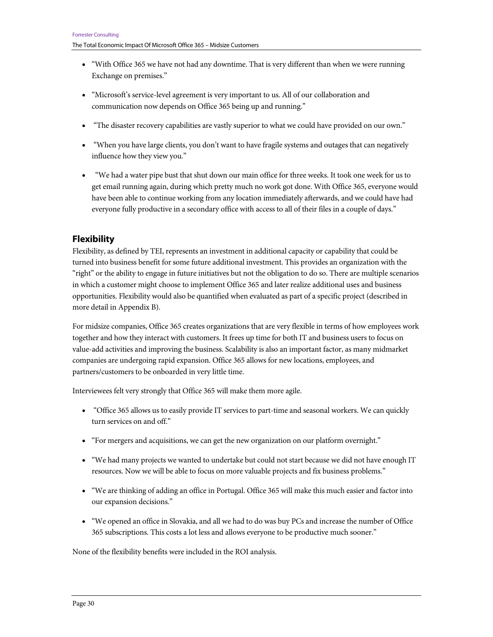- "With Office 365 we have not had any downtime. That is very different than when we were running Exchange on premises."
- "Microsoft's service-level agreement is very important to us. All of our collaboration and communication now depends on Office 365 being up and running."
- "The disaster recovery capabilities are vastly superior to what we could have provided on our own."
- "When you have large clients, you don't want to have fragile systems and outages that can negatively influence how they view you."
- "We had a water pipe bust that shut down our main office for three weeks. It took one week for us to get email running again, during which pretty much no work got done. With Office 365, everyone would have been able to continue working from any location immediately afterwards, and we could have had everyone fully productive in a secondary office with access to all of their files in a couple of days."

# **Flexibility**

Flexibility, as defined by TEI, represents an investment in additional capacity or capability that could be turned into business benefit for some future additional investment. This provides an organization with the "right" or the ability to engage in future initiatives but not the obligation to do so. There are multiple scenarios in which a customer might choose to implement Office 365 and later realize additional uses and business opportunities. Flexibility would also be quantified when evaluated as part of a specific project (described in more detail in Appendix B).

For midsize companies, Office 365 creates organizations that are very flexible in terms of how employees work together and how they interact with customers. It frees up time for both IT and business users to focus on value-add activities and improving the business. Scalability is also an important factor, as many midmarket companies are undergoing rapid expansion. Office 365 allows for new locations, employees, and partners/customers to be onboarded in very little time.

Interviewees felt very strongly that Office 365 will make them more agile.

- "Office 365 allows us to easily provide IT services to part-time and seasonal workers. We can quickly turn services on and off."
- "For mergers and acquisitions, we can get the new organization on our platform overnight."
- "We had many projects we wanted to undertake but could not start because we did not have enough IT resources. Now we will be able to focus on more valuable projects and fix business problems."
- "We are thinking of adding an office in Portugal. Office 365 will make this much easier and factor into our expansion decisions."
- "We opened an office in Slovakia, and all we had to do was buy PCs and increase the number of Office 365 subscriptions. This costs a lot less and allows everyone to be productive much sooner."

None of the flexibility benefits were included in the ROI analysis.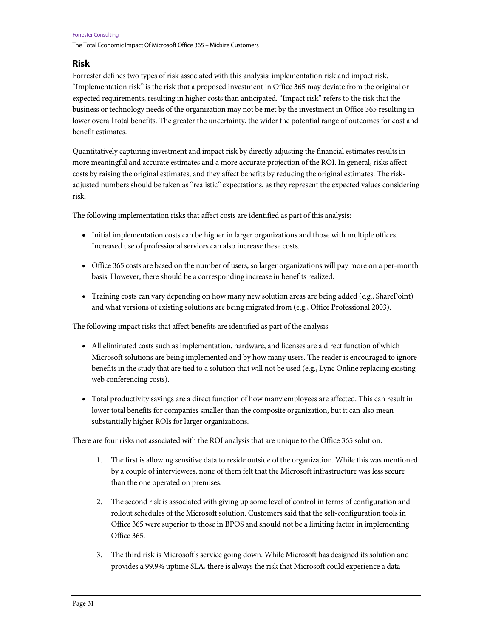### **Risk**

Forrester defines two types of risk associated with this analysis: implementation risk and impact risk. "Implementation risk" is the risk that a proposed investment in Office 365 may deviate from the original or expected requirements, resulting in higher costs than anticipated. "Impact risk" refers to the risk that the business or technology needs of the organization may not be met by the investment in Office 365 resulting in lower overall total benefits. The greater the uncertainty, the wider the potential range of outcomes for cost and benefit estimates.

Quantitatively capturing investment and impact risk by directly adjusting the financial estimates results in more meaningful and accurate estimates and a more accurate projection of the ROI. In general, risks affect costs by raising the original estimates, and they affect benefits by reducing the original estimates. The riskadjusted numbers should be taken as "realistic" expectations, as they represent the expected values considering risk.

The following implementation risks that affect costs are identified as part of this analysis:

- Initial implementation costs can be higher in larger organizations and those with multiple offices. Increased use of professional services can also increase these costs.
- Office 365 costs are based on the number of users, so larger organizations will pay more on a per-month basis. However, there should be a corresponding increase in benefits realized.
- Training costs can vary depending on how many new solution areas are being added (e.g., SharePoint) and what versions of existing solutions are being migrated from (e.g., Office Professional 2003).

The following impact risks that affect benefits are identified as part of the analysis:

- All eliminated costs such as implementation, hardware, and licenses are a direct function of which Microsoft solutions are being implemented and by how many users. The reader is encouraged to ignore benefits in the study that are tied to a solution that will not be used (e.g., Lync Online replacing existing web conferencing costs).
- Total productivity savings are a direct function of how many employees are affected. This can result in lower total benefits for companies smaller than the composite organization, but it can also mean substantially higher ROIs for larger organizations.

There are four risks not associated with the ROI analysis that are unique to the Office 365 solution.

- 1. The first is allowing sensitive data to reside outside of the organization. While this was mentioned by a couple of interviewees, none of them felt that the Microsoft infrastructure was less secure than the one operated on premises.
- 2. The second risk is associated with giving up some level of control in terms of configuration and rollout schedules of the Microsoft solution. Customers said that the self-configuration tools in Office 365 were superior to those in BPOS and should not be a limiting factor in implementing Office 365.
- 3. The third risk is Microsoft's service going down. While Microsoft has designed its solution and provides a 99.9% uptime SLA, there is always the risk that Microsoft could experience a data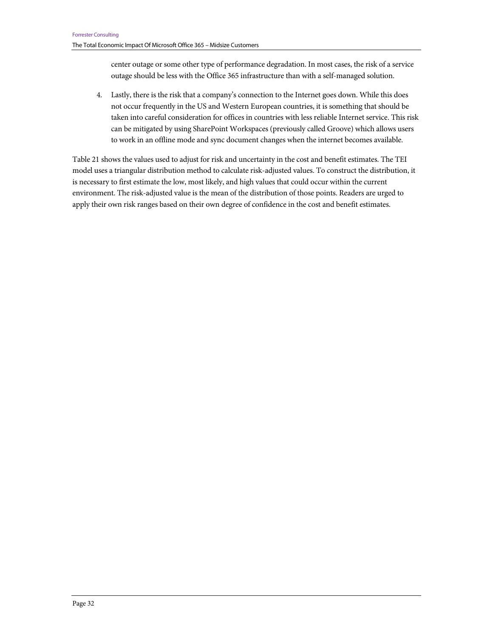center outage or some other type of performance degradation. In most cases, the risk of a service outage should be less with the Office 365 infrastructure than with a self-managed solution.

4. Lastly, there is the risk that a company's connection to the Internet goes down. While this does not occur frequently in the US and Western European countries, it is something that should be taken into careful consideration for offices in countries with less reliable Internet service. This risk can be mitigated by using SharePoint Workspaces (previously called Groove) which allows users to work in an offline mode and sync document changes when the internet becomes available.

Table 21 shows the values used to adjust for risk and uncertainty in the cost and benefit estimates. The TEI model uses a triangular distribution method to calculate risk-adjusted values. To construct the distribution, it is necessary to first estimate the low, most likely, and high values that could occur within the current environment. The risk-adjusted value is the mean of the distribution of those points. Readers are urged to apply their own risk ranges based on their own degree of confidence in the cost and benefit estimates.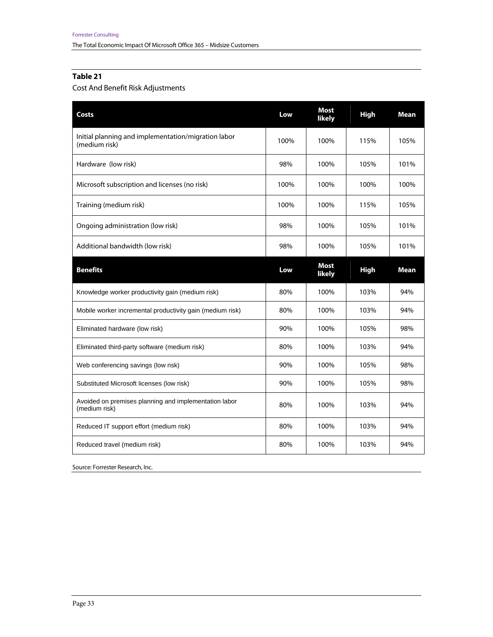# Cost And Benefit Risk Adjustments

| Costs                                                                  | Low  | <b>Most</b><br>likely | <b>High</b> | Mean        |
|------------------------------------------------------------------------|------|-----------------------|-------------|-------------|
| Initial planning and implementation/migration labor<br>(medium risk)   | 100% | 100%                  | 115%        | 105%        |
| Hardware (low risk)                                                    | 98%  | 100%                  | 105%        | 101%        |
| Microsoft subscription and licenses (no risk)                          | 100% | 100%                  | 100%        | 100%        |
| Training (medium risk)                                                 | 100% | 100%                  | 115%        | 105%        |
| Ongoing administration (low risk)                                      | 98%  | 100%                  | 105%        | 101%        |
| Additional bandwidth (low risk)                                        | 98%  | 100%                  | 105%        | 101%        |
| <b>Benefits</b>                                                        | Low  | <b>Most</b><br>likely | <b>High</b> | <b>Mean</b> |
| Knowledge worker productivity gain (medium risk)                       | 80%  | 100%                  | 103%        | 94%         |
| Mobile worker incremental productivity gain (medium risk)              | 80%  | 100%                  | 103%        | 94%         |
| Eliminated hardware (low risk)                                         | 90%  | 100%                  | 105%        | 98%         |
| Eliminated third-party software (medium risk)                          | 80%  | 100%                  | 103%        | 94%         |
| Web conferencing savings (low risk)                                    | 90%  | 100%                  | 105%        | 98%         |
| Substituted Microsoft licenses (low risk)                              | 90%  | 100%                  | 105%        | 98%         |
|                                                                        |      |                       |             |             |
| Avoided on premises planning and implementation labor<br>(medium risk) | 80%  | 100%                  | 103%        | 94%         |
| Reduced IT support effort (medium risk)                                | 80%  | 100%                  | 103%        | 94%         |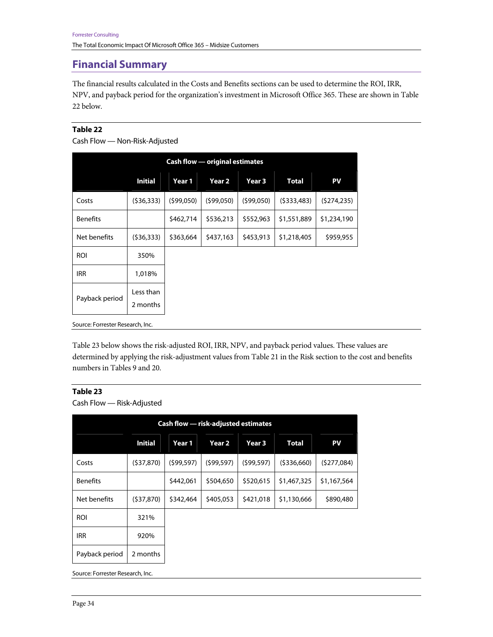# **Financial Summary**

The financial results calculated in the Costs and Benefits sections can be used to determine the ROI, IRR, NPV, and payback period for the organization's investment in Microsoft Office 365. These are shown in Table 22 below.

#### **Table 22**

```
Cash Flow — Non-Risk-Adjusted
```

| <b>Cash flow — original estimates</b> |                       |           |           |           |              |             |  |  |  |
|---------------------------------------|-----------------------|-----------|-----------|-----------|--------------|-------------|--|--|--|
|                                       | <b>Initial</b>        | Year 1    | Year 2    | Year 3    | <b>Total</b> | PV          |  |  |  |
| Costs                                 | (536, 333)            | (599,050) | (599,050) | (599,050) | (5333,483)   | (5274, 235) |  |  |  |
| <b>Benefits</b>                       |                       | \$462,714 | \$536,213 | \$552,963 | \$1,551,889  | \$1,234,190 |  |  |  |
| Net benefits                          | (536,333)             | \$363,664 | \$437,163 | \$453,913 | \$1,218,405  | \$959,955   |  |  |  |
| <b>ROI</b>                            | 350%                  |           |           |           |              |             |  |  |  |
| <b>IRR</b>                            | 1,018%                |           |           |           |              |             |  |  |  |
| Payback period                        | Less than<br>2 months |           |           |           |              |             |  |  |  |

Source: Forrester Research, Inc.

Table 23 below shows the risk-adjusted ROI, IRR, NPV, and payback period values. These values are determined by applying the risk-adjustment values from Table 21 in the Risk section to the cost and benefits numbers in Tables 9 and 20.

### **Table 23**

Cash Flow — Risk-Adjusted

| <b>Cash flow - risk-adjusted estimates</b> |                |            |                   |            |              |             |  |  |  |  |
|--------------------------------------------|----------------|------------|-------------------|------------|--------------|-------------|--|--|--|--|
|                                            | <b>Initial</b> | Year 1     | Year <sub>2</sub> | Year 3     | <b>Total</b> | PV          |  |  |  |  |
| Costs                                      | (537, 870)     | (599, 597) | (599, 597)        | (599, 597) | (5336,660)   | (5277,084)  |  |  |  |  |
| <b>Benefits</b>                            |                | \$442,061  | \$504,650         | \$520,615  | \$1,467,325  | \$1,167,564 |  |  |  |  |
| Net benefits                               | (537,870)      | \$342,464  | \$405,053         | \$421,018  | \$1,130,666  | \$890,480   |  |  |  |  |
| <b>ROI</b>                                 | 321%           |            |                   |            |              |             |  |  |  |  |
| <b>IRR</b>                                 | 920%           |            |                   |            |              |             |  |  |  |  |
| Payback period                             | 2 months       |            |                   |            |              |             |  |  |  |  |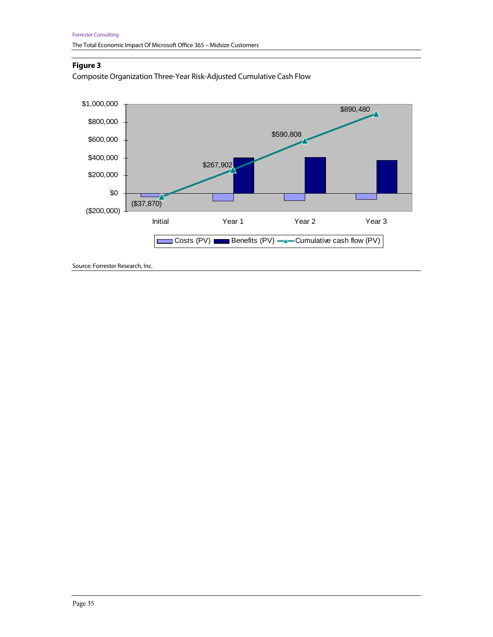# **Figure 3**

Composite Organization Three-Year Risk-Adjusted Cumulative Cash Flow

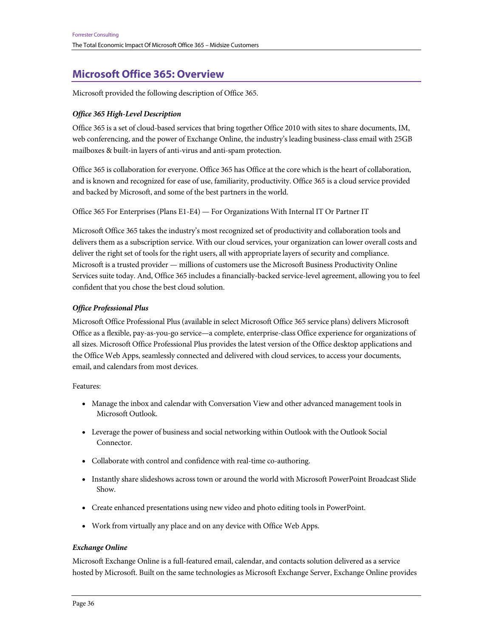# **Microsoft Office 365: Overview**

Microsoft provided the following description of Office 365.

### *Office 365 High-Level Description*

Office 365 is a set of cloud-based services that bring together Office 2010 with sites to share documents, IM, web conferencing, and the power of Exchange Online, the industry's leading business-class email with 25GB mailboxes & built-in layers of anti-virus and anti-spam protection.

Office 365 is collaboration for everyone. Office 365 has Office at the core which is the heart of collaboration, and is known and recognized for ease of use, familiarity, productivity. Office 365 is a cloud service provided and backed by Microsoft, and some of the best partners in the world.

Office 365 For Enterprises (Plans E1-E4) — For Organizations With Internal IT Or Partner IT

Microsoft Office 365 takes the industry's most recognized set of productivity and collaboration tools and delivers them as a subscription service. With our cloud services, your organization can lower overall costs and deliver the right set of tools for the right users, all with appropriate layers of security and compliance. Microsoft is a trusted provider — millions of customers use the Microsoft Business Productivity Online Services suite today. And, Office 365 includes a financially-backed service-level agreement, allowing you to feel confident that you chose the best cloud solution.

### *Office Professional Plus*

Microsoft Office Professional Plus (available in select Microsoft Office 365 service plans) delivers Microsoft Office as a flexible, pay-as-you-go service—a complete, enterprise-class Office experience for organizations of all sizes. Microsoft Office Professional Plus provides the latest version of the Office desktop applications and the Office Web Apps, seamlessly connected and delivered with cloud services, to access your documents, email, and calendars from most devices.

Features:

- Manage the inbox and calendar with Conversation View and other advanced management tools in Microsoft Outlook.
- Leverage the power of business and social networking within Outlook with the Outlook Social Connector.
- Collaborate with control and confidence with real-time co-authoring.
- Instantly share slideshows across town or around the world with Microsoft PowerPoint Broadcast Slide Show.
- Create enhanced presentations using new video and photo editing tools in PowerPoint.
- Work from virtually any place and on any device with Office Web Apps.

#### *Exchange Online*

Microsoft Exchange Online is a full-featured email, calendar, and contacts solution delivered as a service hosted by Microsoft. Built on the same technologies as Microsoft Exchange Server, Exchange Online provides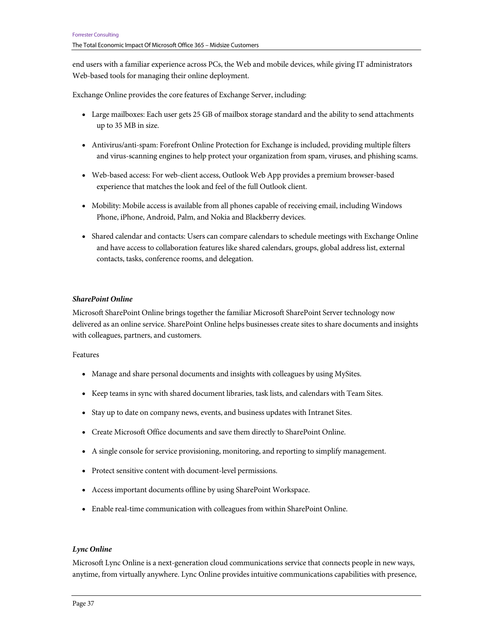end users with a familiar experience across PCs, the Web and mobile devices, while giving IT administrators Web-based tools for managing their online deployment.

Exchange Online provides the core features of Exchange Server, including:

- Large mailboxes: Each user gets 25 GB of mailbox storage standard and the ability to send attachments up to 35 MB in size.
- Antivirus/anti-spam: Forefront Online Protection for Exchange is included, providing multiple filters and virus-scanning engines to help protect your organization from spam, viruses, and phishing scams.
- Web-based access: For web-client access, Outlook Web App provides a premium browser-based experience that matches the look and feel of the full Outlook client.
- Mobility: Mobile access is available from all phones capable of receiving email, including Windows Phone, iPhone, Android, Palm, and Nokia and Blackberry devices.
- Shared calendar and contacts: Users can compare calendars to schedule meetings with Exchange Online and have access to collaboration features like shared calendars, groups, global address list, external contacts, tasks, conference rooms, and delegation.

#### *SharePoint Online*

Microsoft SharePoint Online brings together the familiar Microsoft SharePoint Server technology now delivered as an online service. SharePoint Online helps businesses create sites to share documents and insights with colleagues, partners, and customers.

#### Features

- Manage and share personal documents and insights with colleagues by using MySites.
- Keep teams in sync with shared document libraries, task lists, and calendars with Team Sites.
- Stay up to date on company news, events, and business updates with Intranet Sites.
- Create Microsoft Office documents and save them directly to SharePoint Online.
- A single console for service provisioning, monitoring, and reporting to simplify management.
- Protect sensitive content with document-level permissions.
- Access important documents offline by using SharePoint Workspace.
- Enable real-time communication with colleagues from within SharePoint Online.

#### *Lync Online*

Microsoft Lync Online is a next-generation cloud communications service that connects people in new ways, anytime, from virtually anywhere. Lync Online provides intuitive communications capabilities with presence,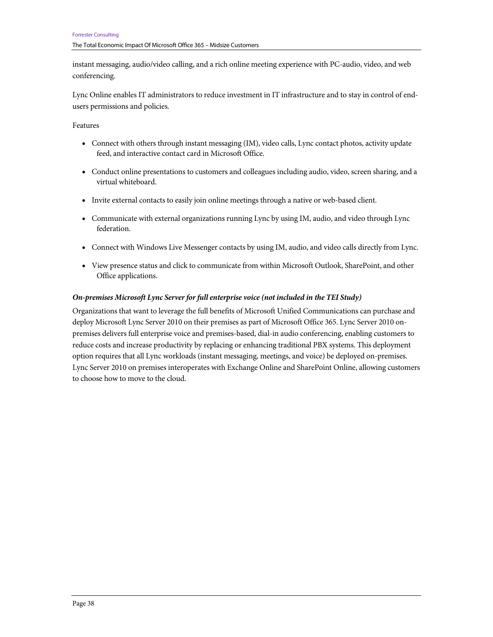instant messaging, audio/video calling, and a rich online meeting experience with PC-audio, video, and web conferencing.

Lync Online enables IT administrators to reduce investment in IT infrastructure and to stay in control of endusers permissions and policies.

Features

- Connect with others through instant messaging (IM), video calls, Lync contact photos, activity update feed, and interactive contact card in Microsoft Office.
- Conduct online presentations to customers and colleagues including audio, video, screen sharing, and a virtual whiteboard.
- Invite external contacts to easily join online meetings through a native or web-based client.
- Communicate with external organizations running Lync by using IM, audio, and video through Lync federation.
- Connect with Windows Live Messenger contacts by using IM, audio, and video calls directly from Lync.
- View presence status and click to communicate from within Microsoft Outlook, SharePoint, and other Office applications.

#### *On-premises Microsoft Lync Server for full enterprise voice (not included in the TEI Study)*

Organizations that want to leverage the full benefits of Microsoft Unified Communications can purchase and deploy Microsoft Lync Server 2010 on their premises as part of Microsoft Office 365. Lync Server 2010 onpremises delivers full enterprise voice and premises-based, dial-in audio conferencing, enabling customers to reduce costs and increase productivity by replacing or enhancing traditional PBX systems. This deployment option requires that all Lync workloads (instant messaging, meetings, and voice) be deployed on-premises. Lync Server 2010 on premises interoperates with Exchange Online and SharePoint Online, allowing customers to choose how to move to the cloud.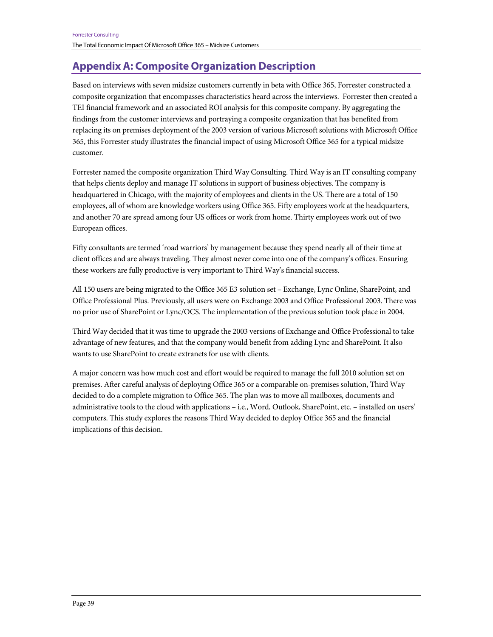# **Appendix A: Composite Organization Description**

Based on interviews with seven midsize customers currently in beta with Office 365, Forrester constructed a composite organization that encompasses characteristics heard across the interviews. Forrester then created a TEI financial framework and an associated ROI analysis for this composite company. By aggregating the findings from the customer interviews and portraying a composite organization that has benefited from replacing its on premises deployment of the 2003 version of various Microsoft solutions with Microsoft Office 365, this Forrester study illustrates the financial impact of using Microsoft Office 365 for a typical midsize customer.

Forrester named the composite organization Third Way Consulting. Third Way is an IT consulting company that helps clients deploy and manage IT solutions in support of business objectives. The company is headquartered in Chicago, with the majority of employees and clients in the US. There are a total of 150 employees, all of whom are knowledge workers using Office 365. Fifty employees work at the headquarters, and another 70 are spread among four US offices or work from home. Thirty employees work out of two European offices.

Fifty consultants are termed 'road warriors' by management because they spend nearly all of their time at client offices and are always traveling. They almost never come into one of the company's offices. Ensuring these workers are fully productive is very important to Third Way's financial success.

All 150 users are being migrated to the Office 365 E3 solution set – Exchange, Lync Online, SharePoint, and Office Professional Plus. Previously, all users were on Exchange 2003 and Office Professional 2003. There was no prior use of SharePoint or Lync/OCS. The implementation of the previous solution took place in 2004.

Third Way decided that it was time to upgrade the 2003 versions of Exchange and Office Professional to take advantage of new features, and that the company would benefit from adding Lync and SharePoint. It also wants to use SharePoint to create extranets for use with clients.

A major concern was how much cost and effort would be required to manage the full 2010 solution set on premises. After careful analysis of deploying Office 365 or a comparable on-premises solution, Third Way decided to do a complete migration to Office 365. The plan was to move all mailboxes, documents and administrative tools to the cloud with applications – i.e., Word, Outlook, SharePoint, etc. – installed on users' computers. This study explores the reasons Third Way decided to deploy Office 365 and the financial implications of this decision.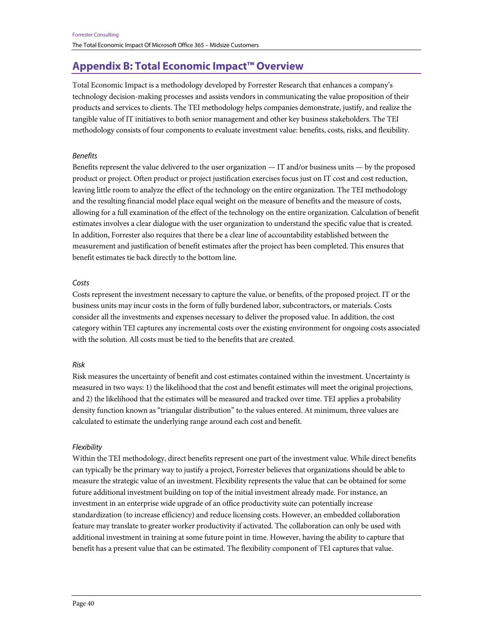# **Appendix B: Total Economic Impact™ Overview**

Total Economic Impact is a methodology developed by Forrester Research that enhances a company's technology decision-making processes and assists vendors in communicating the value proposition of their products and services to clients. The TEI methodology helps companies demonstrate, justify, and realize the tangible value of IT initiatives to both senior management and other key business stakeholders. The TEI methodology consists of four components to evaluate investment value: benefits, costs, risks, and flexibility.

#### Benefits

Benefits represent the value delivered to the user organization — IT and/or business units — by the proposed product or project. Often product or project justification exercises focus just on IT cost and cost reduction, leaving little room to analyze the effect of the technology on the entire organization. The TEI methodology and the resulting financial model place equal weight on the measure of benefits and the measure of costs, allowing for a full examination of the effect of the technology on the entire organization. Calculation of benefit estimates involves a clear dialogue with the user organization to understand the specific value that is created. In addition, Forrester also requires that there be a clear line of accountability established between the measurement and justification of benefit estimates after the project has been completed. This ensures that benefit estimates tie back directly to the bottom line.

#### Costs

Costs represent the investment necessary to capture the value, or benefits, of the proposed project. IT or the business units may incur costs in the form of fully burdened labor, subcontractors, or materials. Costs consider all the investments and expenses necessary to deliver the proposed value. In addition, the cost category within TEI captures any incremental costs over the existing environment for ongoing costs associated with the solution. All costs must be tied to the benefits that are created.

#### Risk

Risk measures the uncertainty of benefit and cost estimates contained within the investment. Uncertainty is measured in two ways: 1) the likelihood that the cost and benefit estimates will meet the original projections, and 2) the likelihood that the estimates will be measured and tracked over time. TEI applies a probability density function known as "triangular distribution" to the values entered. At minimum, three values are calculated to estimate the underlying range around each cost and benefit.

#### **Flexibility**

Within the TEI methodology, direct benefits represent one part of the investment value. While direct benefits can typically be the primary way to justify a project, Forrester believes that organizations should be able to measure the strategic value of an investment. Flexibility represents the value that can be obtained for some future additional investment building on top of the initial investment already made. For instance, an investment in an enterprise wide upgrade of an office productivity suite can potentially increase standardization (to increase efficiency) and reduce licensing costs. However, an embedded collaboration feature may translate to greater worker productivity if activated. The collaboration can only be used with additional investment in training at some future point in time. However, having the ability to capture that benefit has a present value that can be estimated. The flexibility component of TEI captures that value.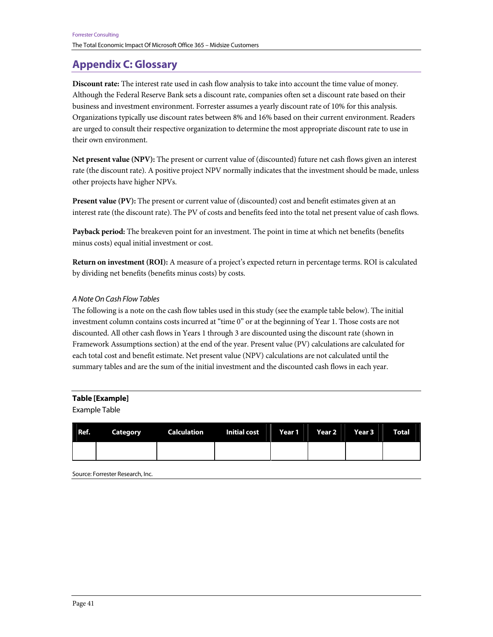# **Appendix C: Glossary**

**Discount rate:** The interest rate used in cash flow analysis to take into account the time value of money. Although the Federal Reserve Bank sets a discount rate, companies often set a discount rate based on their business and investment environment. Forrester assumes a yearly discount rate of 10% for this analysis. Organizations typically use discount rates between 8% and 16% based on their current environment. Readers are urged to consult their respective organization to determine the most appropriate discount rate to use in their own environment.

**Net present value (NPV):** The present or current value of (discounted) future net cash flows given an interest rate (the discount rate). A positive project NPV normally indicates that the investment should be made, unless other projects have higher NPVs.

**Present value (PV):** The present or current value of (discounted) cost and benefit estimates given at an interest rate (the discount rate). The PV of costs and benefits feed into the total net present value of cash flows.

**Payback period:** The breakeven point for an investment. The point in time at which net benefits (benefits minus costs) equal initial investment or cost.

**Return on investment (ROI):** A measure of a project's expected return in percentage terms. ROI is calculated by dividing net benefits (benefits minus costs) by costs.

### A Note On Cash Flow Tables

The following is a note on the cash flow tables used in this study (see the example table below). The initial investment column contains costs incurred at "time 0" or at the beginning of Year 1. Those costs are not discounted. All other cash flows in Years 1 through 3 are discounted using the discount rate (shown in Framework Assumptions section) at the end of the year. Present value (PV) calculations are calculated for each total cost and benefit estimate. Net present value (NPV) calculations are not calculated until the summary tables and are the sum of the initial investment and the discounted cash flows in each year.

#### **Table [Example]**

Example Table

| Ref. | <b>Category Calculation Initial cost Year 1 Year 2 Year 3 Year 3 Year 4 Year 4 Year 4 Year 4 Year 4 Year 4 Year 4 Year 4 Year 4 Year 4 Year 4 Year 4 Year 4 Year 4 Year 4 Year 4 Year 4 Year 4 Year 4 Year 4 Year 4 Year 4 Year </b> |  |  | <b>Total</b> |
|------|--------------------------------------------------------------------------------------------------------------------------------------------------------------------------------------------------------------------------------------|--|--|--------------|
|      |                                                                                                                                                                                                                                      |  |  |              |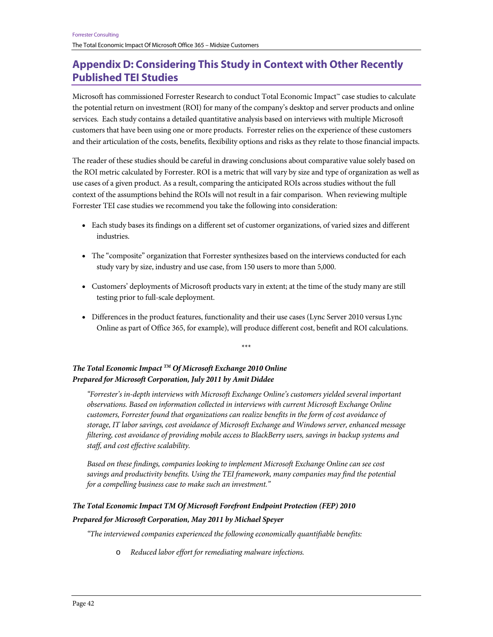# **Appendix D: Considering This Study in Context with Other Recently Published TEI Studies**

Microsoft has commissioned Forrester Research to conduct Total Economic Impact™ case studies to calculate the potential return on investment (ROI) for many of the company's desktop and server products and online services. Each study contains a detailed quantitative analysis based on interviews with multiple Microsoft customers that have been using one or more products. Forrester relies on the experience of these customers and their articulation of the costs, benefits, flexibility options and risks as they relate to those financial impacts.

The reader of these studies should be careful in drawing conclusions about comparative value solely based on the ROI metric calculated by Forrester. ROI is a metric that will vary by size and type of organization as well as use cases of a given product. As a result, comparing the anticipated ROIs across studies without the full context of the assumptions behind the ROIs will not result in a fair comparison. When reviewing multiple Forrester TEI case studies we recommend you take the following into consideration:

- Each study bases its findings on a different set of customer organizations, of varied sizes and different industries.
- The "composite" organization that Forrester synthesizes based on the interviews conducted for each study vary by size, industry and use case, from 150 users to more than 5,000.
- Customers' deployments of Microsoft products vary in extent; at the time of the study many are still testing prior to full-scale deployment.
- Differences in the product features, functionality and their use cases (Lync Server 2010 versus Lync Online as part of Office 365, for example), will produce different cost, benefit and ROI calculations.

\*\*\*

*The Total Economic Impact TM Of Microsoft Exchange 2010 Online Prepared for Microsoft Corporation, July 2011 by Amit Diddee* 

*"Forrester's in-depth interviews with Microsoft Exchange Online's customers yielded several important observations. Based on information collected in interviews with current Microsoft Exchange Online customers, Forrester found that organizations can realize benefits in the form of cost avoidance of storage, IT labor savings, cost avoidance of Microsoft Exchange and Windows server, enhanced message filtering, cost avoidance of providing mobile access to BlackBerry users, savings in backup systems and staff, and cost effective scalability.* 

*Based on these findings, companies looking to implement Microsoft Exchange Online can see cost savings and productivity benefits. Using the TEI framework, many companies may find the potential for a compelling business case to make such an investment."* 

#### *The Total Economic Impact TM Of Microsoft Forefront Endpoint Protection (FEP) 2010*

#### *Prepared for Microsoft Corporation, May 2011 by Michael Speyer*

*"The interviewed companies experienced the following economically quantifiable benefits:* 

o *Reduced labor effort for remediating malware infections.*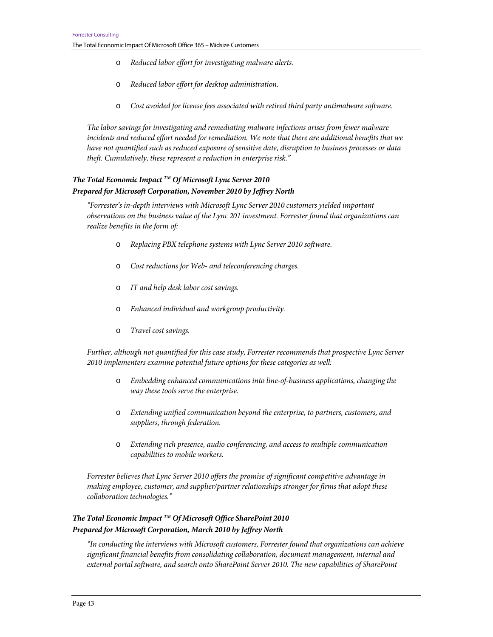- o *Reduced labor effort for investigating malware alerts.*
- o *Reduced labor effort for desktop administration.*
- o *Cost avoided for license fees associated with retired third party antimalware software.*

*The labor savings for investigating and remediating malware infections arises from fewer malware incidents and reduced effort needed for remediation. We note that there are additional benefits that we have not quantified such as reduced exposure of sensitive date, disruption to business processes or data theft. Cumulatively, these represent a reduction in enterprise risk."* 

# *The Total Economic Impact TM Of Microsoft Lync Server 2010 Prepared for Microsoft Corporation, November 2010 by Jeffrey North*

*"Forrester's in-depth interviews with Microsoft Lync Server 2010 customers yielded important observations on the business value of the Lync 201 investment. Forrester found that organizations can realize benefits in the form of:* 

- o *Replacing PBX telephone systems with Lync Server 2010 software.*
- o *Cost reductions for Web- and teleconferencing charges.*
- o *IT and help desk labor cost savings.*
- o *Enhanced individual and workgroup productivity.*
- o *Travel cost savings.*

*Further, although not quantified for this case study, Forrester recommends that prospective Lync Server 2010 implementers examine potential future options for these categories as well:* 

- o *Embedding enhanced communications into line-of-business applications, changing the way these tools serve the enterprise.*
- o *Extending unified communication beyond the enterprise, to partners, customers, and suppliers, through federation.*
- o *Extending rich presence, audio conferencing, and access to multiple communication capabilities to mobile workers.*

*Forrester believes that Lync Server 2010 offers the promise of significant competitive advantage in making employee, customer, and supplier/partner relationships stronger for firms that adopt these collaboration technologies."* 

# *The Total Economic Impact TM Of Microsoft Office SharePoint 2010 Prepared for Microsoft Corporation, March 2010 by Jeffrey North*

*"In conducting the interviews with Microsoft customers, Forrester found that organizations can achieve significant financial benefits from consolidating collaboration, document management, internal and external portal software, and search onto SharePoint Server 2010. The new capabilities of SharePoint*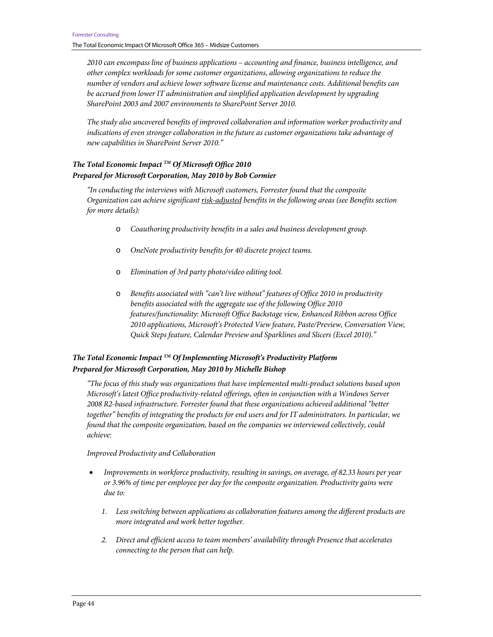*2010 can encompass line of business applications – accounting and finance, business intelligence, and other complex workloads for some customer organizations, allowing organizations to reduce the number of vendors and achieve lower software license and maintenance costs. Additional benefits can be accrued from lower IT administration and simplified application development by upgrading SharePoint 2003 and 2007 environments to SharePoint Server 2010.* 

*The study also uncovered benefits of improved collaboration and information worker productivity and indications of even stronger collaboration in the future as customer organizations take advantage of new capabilities in SharePoint Server 2010."* 

# *The Total Economic Impact TM Of Microsoft Office 2010 Prepared for Microsoft Corporation, May 2010 by Bob Cormier*

*"In conducting the interviews with Microsoft customers, Forrester found that the composite Organization can achieve significant risk-adjusted benefits in the following areas (see Benefits section for more details):* 

- o *Coauthoring productivity benefits in a sales and business development group.*
- o *OneNote productivity benefits for 40 discrete project teams.*
- o *Elimination of 3rd party photo/video editing tool.*
- o *Benefits associated with "can't live without" features of Office 2010 in productivity benefits associated with the aggregate use of the following Office 2010 features/functionality: Microsoft Office Backstage view, Enhanced Ribbon across Office 2010 applications, Microsoft's Protected View feature, Paste/Preview, Conversation View, Quick Steps feature, Calendar Preview and Sparklines and Slicers (Excel 2010)."*

### *The Total Economic Impact TM Of Implementing Microsoft's Productivity Platform Prepared for Microsoft Corporation, May 2010 by Michelle Bishop*

*"The focus of this study was organizations that have implemented multi-product solutions based upon Microsoft's latest Office productivity-related offerings, often in conjunction with a Windows Server 2008 R2-based infrastructure. Forrester found that these organizations achieved additional "better together" benefits of integrating the products for end users and for IT administrators. In particular, we found that the composite organization, based on the companies we interviewed collectively, could achieve:* 

*Improved Productivity and Collaboration* 

- *Improvements in workforce productivity, resulting in savings, on average, of 82.33 hours per year or 3.96% of time per employee per day for the composite organization. Productivity gains were due to:* 
	- *1. Less switching between applications as collaboration features among the different products are more integrated and work better together.*
	- *2. Direct and efficient access to team members' availability through Presence that accelerates connecting to the person that can help.*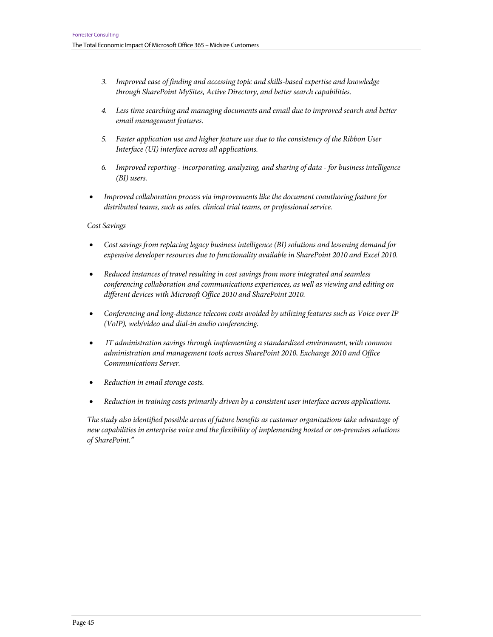- *3. Improved ease of finding and accessing topic and skills-based expertise and knowledge through SharePoint MySites, Active Directory, and better search capabilities.*
- *4. Less time searching and managing documents and email due to improved search and better email management features.*
- *5. Faster application use and higher feature use due to the consistency of the Ribbon User Interface (UI) interface across all applications.*
- *6. Improved reporting incorporating, analyzing, and sharing of data for business intelligence (BI) users.*
- *Improved collaboration process via improvements like the document coauthoring feature for distributed teams, such as sales, clinical trial teams, or professional service.*

#### *Cost Savings*

- *Cost savings from replacing legacy business intelligence (BI) solutions and lessening demand for expensive developer resources due to functionality available in SharePoint 2010 and Excel 2010.*
- *Reduced instances of travel resulting in cost savings from more integrated and seamless conferencing collaboration and communications experiences, as well as viewing and editing on different devices with Microsoft Office 2010 and SharePoint 2010.*
- *Conferencing and long-distance telecom costs avoided by utilizing features such as Voice over IP (VoIP), web/video and dial-in audio conferencing.*
- • *IT administration savings through implementing a standardized environment, with common administration and management tools across SharePoint 2010, Exchange 2010 and Office Communications Server.*
- *Reduction in email storage costs.*
- *Reduction in training costs primarily driven by a consistent user interface across applications.*

*The study also identified possible areas of future benefits as customer organizations take advantage of new capabilities in enterprise voice and the flexibility of implementing hosted or on-premises solutions of SharePoint."*